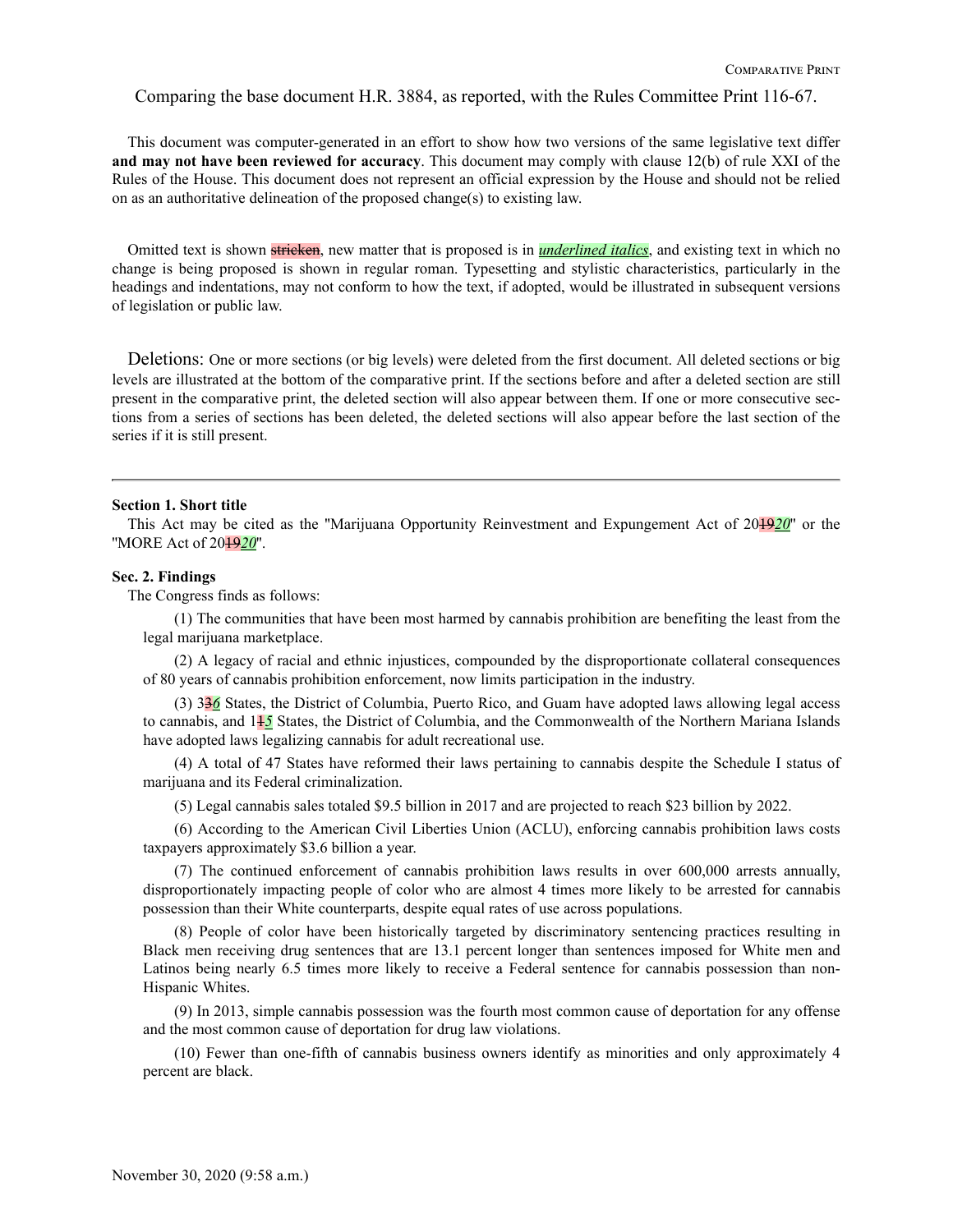Comparing the base document H.R. 3884, as reported, with the Rules Committee Print 116-67.

This document was computer-generated in an effort to show how two versions of the same legislative text differ **and may not have been reviewed for accuracy**. This document may comply with clause 12(b) of rule XXI of the Rules of the House. This document does not represent an official expression by the House and should not be relied on as an authoritative delineation of the proposed change(s) to existing law.

Omitted text is shown stricken, new matter that is proposed is in *underlined italics*, and existing text in which no change is being proposed is shown in regular roman. Typesetting and stylistic characteristics, particularly in the headings and indentations, may not conform to how the text, if adopted, would be illustrated in subsequent versions of legislation or public law.

Deletions: One or more sections (or big levels) were deleted from the first document. All deleted sections or big levels are illustrated at the bottom of the comparative print. If the sections before and after a deleted section are still present in the comparative print, the deleted section will also appear between them. If one or more consecutive sections from a series of sections has been deleted, the deleted sections will also appear before the last section of the series if it is still present.

### **Section 1. Short title**

This Act may be cited as the ''Marijuana Opportunity Reinvestment and Expungement Act of 2019*20*'' or the ''MORE Act of 2019*20*''.

#### **Sec. 2. Findings**

The Congress finds as follows:

(1) The communities that have been most harmed by cannabis prohibition are benefiting the least from the legal marijuana marketplace.

(2) A legacy of racial and ethnic injustices, compounded by the disproportionate collateral consequences of 80 years of cannabis prohibition enforcement, now limits participation in the industry.

(3) 33*6* States, the District of Columbia, Puerto Rico, and Guam have adopted laws allowing legal access to cannabis, and 11*5* States, the District of Columbia, and the Commonwealth of the Northern Mariana Islands have adopted laws legalizing cannabis for adult recreational use.

(4) A total of 47 States have reformed their laws pertaining to cannabis despite the Schedule I status of marijuana and its Federal criminalization.

(5) Legal cannabis sales totaled \$9.5 billion in 2017 and are projected to reach \$23 billion by 2022.

(6) According to the American Civil Liberties Union (ACLU), enforcing cannabis prohibition laws costs taxpayers approximately \$3.6 billion a year.

(7) The continued enforcement of cannabis prohibition laws results in over 600,000 arrests annually, disproportionately impacting people of color who are almost 4 times more likely to be arrested for cannabis possession than their White counterparts, despite equal rates of use across populations.

(8) People of color have been historically targeted by discriminatory sentencing practices resulting in Black men receiving drug sentences that are 13.1 percent longer than sentences imposed for White men and Latinos being nearly 6.5 times more likely to receive a Federal sentence for cannabis possession than non-Hispanic Whites.

(9) In 2013, simple cannabis possession was the fourth most common cause of deportation for any offense and the most common cause of deportation for drug law violations.

(10) Fewer than one-fifth of cannabis business owners identify as minorities and only approximately 4 percent are black.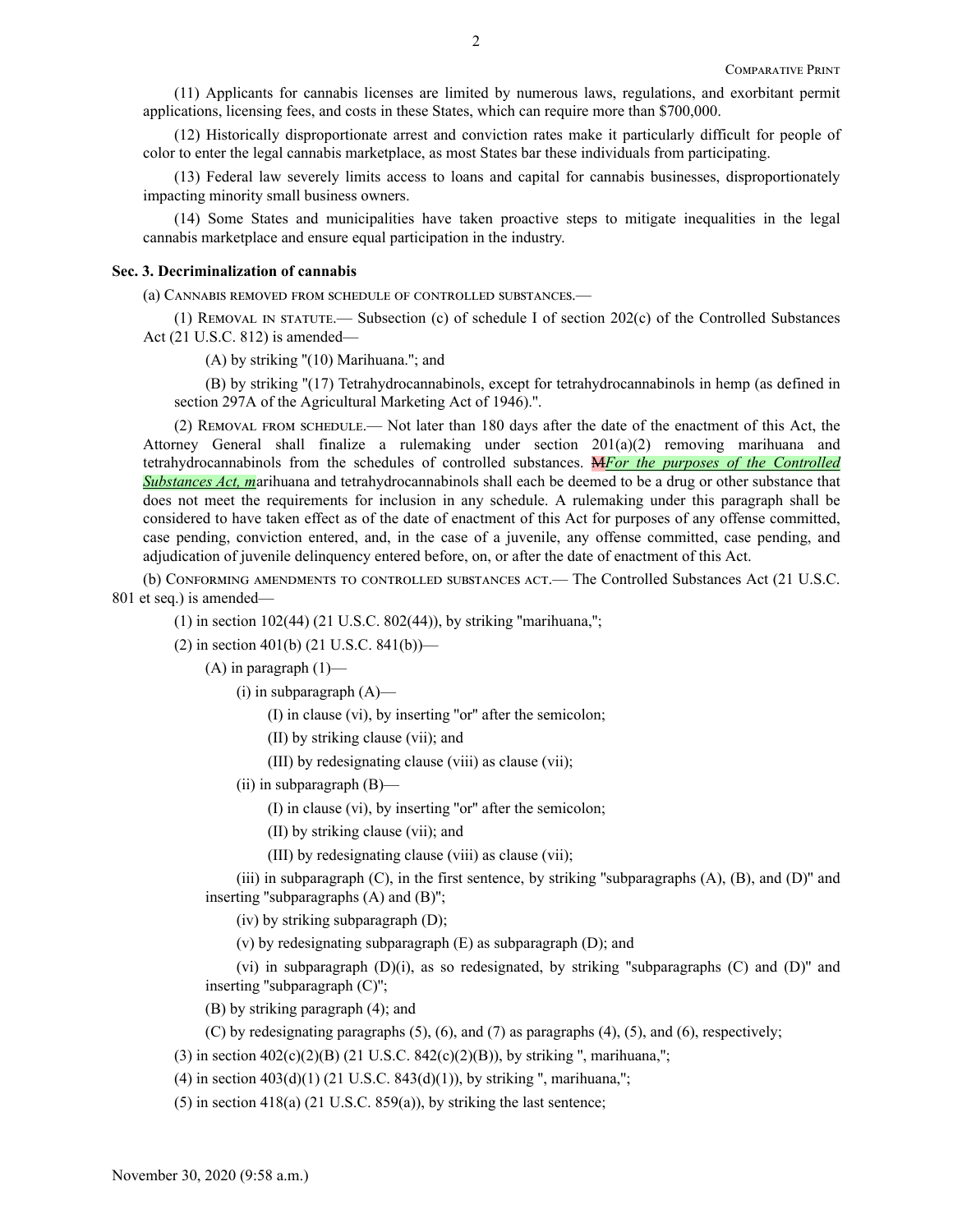(11) Applicants for cannabis licenses are limited by numerous laws, regulations, and exorbitant permit applications, licensing fees, and costs in these States, which can require more than \$700,000.

(12) Historically disproportionate arrest and conviction rates make it particularly difficult for people of color to enter the legal cannabis marketplace, as most States bar these individuals from participating.

(13) Federal law severely limits access to loans and capital for cannabis businesses, disproportionately impacting minority small business owners.

(14) Some States and municipalities have taken proactive steps to mitigate inequalities in the legal cannabis marketplace and ensure equal participation in the industry.

### **Sec. 3. Decriminalization of cannabis**

(a) Cannabis removed from schedule of controlled substances.—

(1) Removal in statute.— Subsection (c) of schedule I of section 202(c) of the Controlled Substances Act (21 U.S.C. 812) is amended—

 $(A)$  by striking " $(10)$  Marihuana."; and

(B) by striking ''(17) Tetrahydrocannabinols, except for tetrahydrocannabinols in hemp (as defined in section 297A of the Agricultural Marketing Act of 1946).''.

(2) Removal from schedule.— Not later than 180 days after the date of the enactment of this Act, the Attorney General shall finalize a rulemaking under section 201(a)(2) removing marihuana and tetrahydrocannabinols from the schedules of controlled substances. M*For the purposes of the Controlled Substances Act, m*arihuana and tetrahydrocannabinols shall each be deemed to be a drug or other substance that does not meet the requirements for inclusion in any schedule. A rulemaking under this paragraph shall be considered to have taken effect as of the date of enactment of this Act for purposes of any offense committed, case pending, conviction entered, and, in the case of a juvenile, any offense committed, case pending, and adjudication of juvenile delinquency entered before, on, or after the date of enactment of this Act.

(b) Conforming amendments to controlled substances act.— The Controlled Substances Act (21 U.S.C. 801 et seq.) is amended—

(1) in section 102(44) (21 U.S.C. 802(44)), by striking ''marihuana,'';

(2) in section 401(b) (21 U.S.C. 841(b))—

 $(A)$  in paragraph  $(1)$ —

 $(i)$  in subparagraph  $(A)$ —

(I) in clause (vi), by inserting ''or'' after the semicolon;

(II) by striking clause (vii); and

(III) by redesignating clause (viii) as clause (vii);

(ii) in subparagraph (B)—

(I) in clause (vi), by inserting ''or'' after the semicolon;

(II) by striking clause (vii); and

(III) by redesignating clause (viii) as clause (vii);

(iii) in subparagraph  $(C)$ , in the first sentence, by striking "subparagraphs  $(A)$ ,  $(B)$ , and  $(D)$ " and inserting ''subparagraphs (A) and (B)'';

(iv) by striking subparagraph (D);

(v) by redesignating subparagraph (E) as subparagraph (D); and

(vi) in subparagraph  $(D)(i)$ , as so redesignated, by striking "subparagraphs  $(C)$  and  $(D)$ " and inserting ''subparagraph (C)'';

(B) by striking paragraph (4); and

(C) by redesignating paragraphs (5), (6), and (7) as paragraphs (4), (5), and (6), respectively;

(3) in section  $402(c)(2)(B)$  (21 U.S.C.  $842(c)(2)(B)$ ), by striking ", marihuana,";

(4) in section  $403(d)(1)$  (21 U.S.C.  $843(d)(1)$ ), by striking ", marihuana,";

(5) in section  $418(a)$  (21 U.S.C.  $859(a)$ ), by striking the last sentence;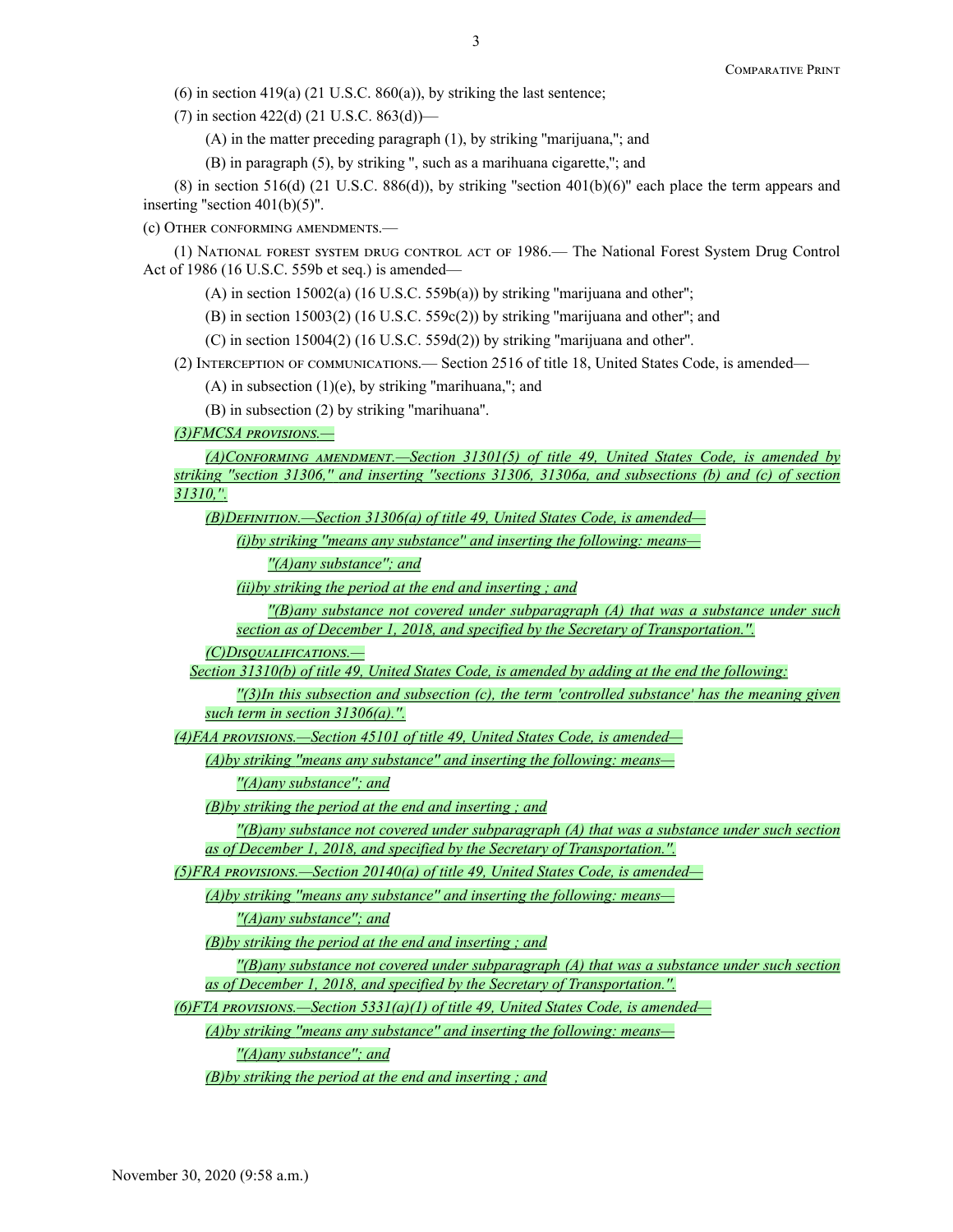(6) in section 419(a) (21 U.S.C. 860(a)), by striking the last sentence;

(7) in section 422(d) (21 U.S.C. 863(d))—

(A) in the matter preceding paragraph (1), by striking ''marijuana,''; and

(B) in paragraph (5), by striking '', such as a marihuana cigarette,''; and

(8) in section 516(d) (21 U.S.C. 886(d)), by striking "section 401(b)(6)" each place the term appears and inserting "section  $401(b)(5)$ ".

(c) Other conforming amendments.—

(1) National forest system drug control act of 1986.— The National Forest System Drug Control Act of 1986 (16 U.S.C. 559b et seq.) is amended—

(A) in section 15002(a) (16 U.S.C. 559b(a)) by striking ''marijuana and other'';

(B) in section 15003(2) (16 U.S.C. 559c(2)) by striking ''marijuana and other''; and

(C) in section 15004(2) (16 U.S.C. 559d(2)) by striking ''marijuana and other''.

(2) Interception of communications.— Section 2516 of title 18, United States Code, is amended—

 $(A)$  in subsection  $(1)(e)$ , by striking "marihuana,"; and

(B) in subsection (2) by striking ''marihuana''.

*(3)FMCSA provisions.—*

*(A)Conforming amendment.—Section 31301(5) of title 49, United States Code, is amended by striking ''section 31306,'' and inserting ''sections 31306, 31306a, and subsections (b) and (c) of section 31310,''.*

*(B)Definition.—Section 31306(a) of title 49, United States Code, is amended—*

*(i)by striking ''means any substance'' and inserting the following: means—*

*''(A)any substance''; and*

*(ii)by striking the period at the end and inserting ; and*

*''(B)any substance not covered under subparagraph (A) that was a substance under such section as of December 1, 2018, and specified by the Secretary of Transportation.''.*

*(C)Disqualifications.—*

*Section 31310(b) of title 49, United States Code, is amended by adding at the end the following:*

*''(3)In this subsection and subsection (c), the term 'controlled substance' has the meaning given such term in section 31306(a).''.*

*(4)FAA provisions.—Section 45101 of title 49, United States Code, is amended—*

*(A)by striking ''means any substance'' and inserting the following: means—*

*''(A)any substance''; and*

*(B)by striking the period at the end and inserting ; and*

*''(B)any substance not covered under subparagraph (A) that was a substance under such section as of December 1, 2018, and specified by the Secretary of Transportation.''.*

*(5)FRA provisions.—Section 20140(a) of title 49, United States Code, is amended—*

*(A)by striking ''means any substance'' and inserting the following: means—*

*''(A)any substance''; and*

*(B)by striking the period at the end and inserting ; and*

*''(B)any substance not covered under subparagraph (A) that was a substance under such section as of December 1, 2018, and specified by the Secretary of Transportation.''.*

*(6)FTA provisions.—Section 5331(a)(1) of title 49, United States Code, is amended—*

*(A)by striking ''means any substance'' and inserting the following: means—*

*''(A)any substance''; and*

*(B)by striking the period at the end and inserting ; and*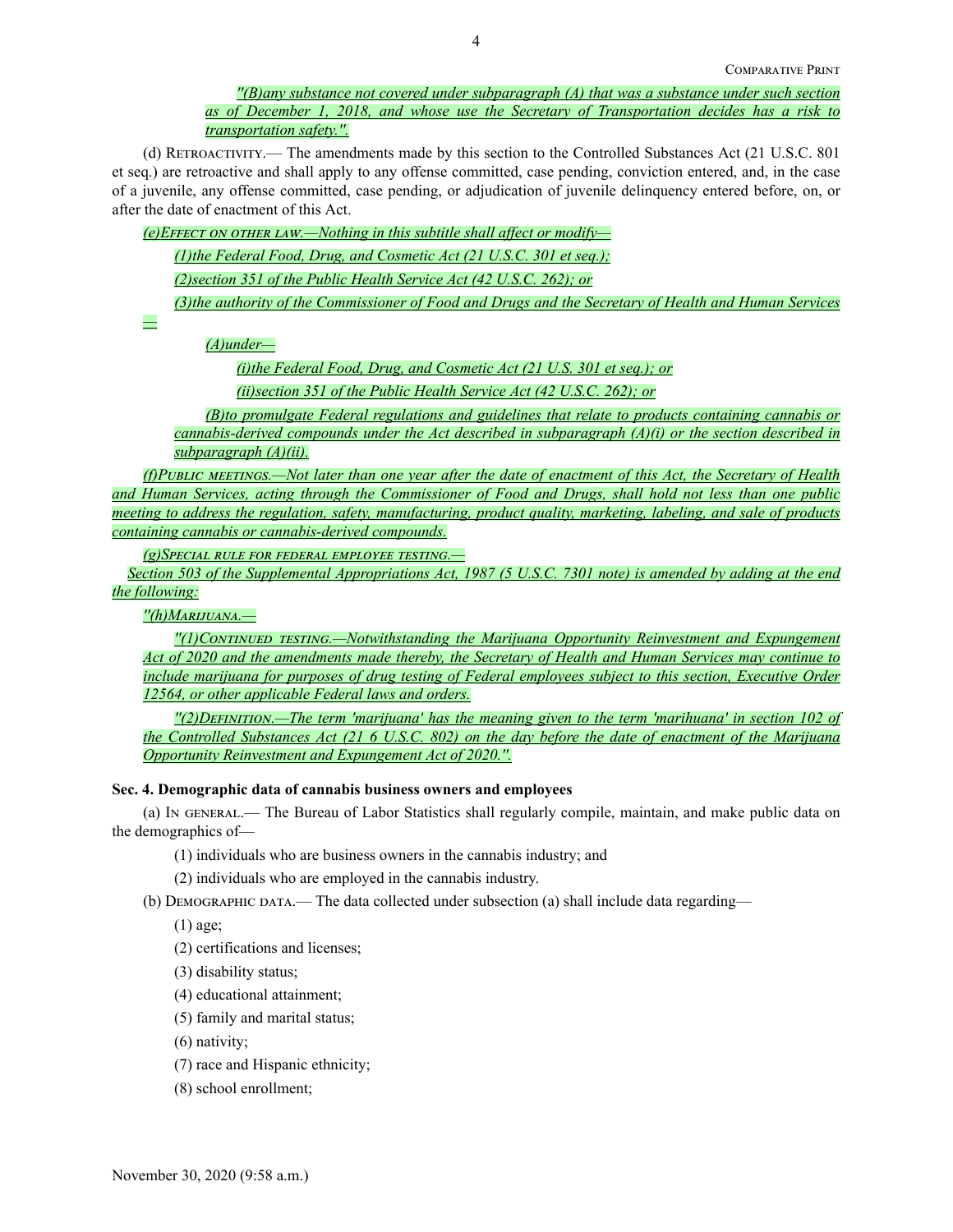*''(B)any substance not covered under subparagraph (A) that was a substance under such section as of December 1, 2018, and whose use the Secretary of Transportation decides has a risk to transportation safety.''.*

(d) Retroactivity.— The amendments made by this section to the Controlled Substances Act (21 U.S.C. 801 et seq.) are retroactive and shall apply to any offense committed, case pending, conviction entered, and, in the case of a juvenile, any offense committed, case pending, or adjudication of juvenile delinquency entered before, on, or after the date of enactment of this Act.

*(e)Effect on other law.—Nothing in this subtitle shall affect or modify—*

*(1)the Federal Food, Drug, and Cosmetic Act (21 U.S.C. 301 et seq.);*

*(2)section 351 of the Public Health Service Act (42 U.S.C. 262); or*

*(3)the authority of the Commissioner of Food and Drugs and the Secretary of Health and Human Services*

*—*

*(A)under—*

*(i)the Federal Food, Drug, and Cosmetic Act (21 U.S. 301 et seq.); or*

*(ii)section 351 of the Public Health Service Act (42 U.S.C. 262); or*

*(B)to promulgate Federal regulations and guidelines that relate to products containing cannabis or cannabis-derived compounds under the Act described in subparagraph (A)(i) or the section described in subparagraph (A)(ii).*

*(f)Public meetings.—Not later than one year after the date of enactment of this Act, the Secretary of Health and Human Services, acting through the Commissioner of Food and Drugs, shall hold not less than one public meeting to address the regulation, safety, manufacturing, product quality, marketing, labeling, and sale of products containing cannabis or cannabis-derived compounds.*

*(g)Special rule for federal employee testing.—*

*Section 503 of the Supplemental Appropriations Act, 1987 (5 U.S.C. 7301 note) is amended by adding at the end the following:*

*''(h)Marijuana.—*

*''(1)Continued testing.—Notwithstanding the Marijuana Opportunity Reinvestment and Expungement Act of 2020 and the amendments made thereby, the Secretary of Health and Human Services may continue to include marijuana for purposes of drug testing of Federal employees subject to this section, Executive Order 12564, or other applicable Federal laws and orders.*

*''(2)Definition.—The term 'marijuana' has the meaning given to the term 'marihuana' in section 102 of the Controlled Substances Act (21 6 U.S.C. 802) on the day before the date of enactment of the Marijuana Opportunity Reinvestment and Expungement Act of 2020.''.*

## **Sec. 4. Demographic data of cannabis business owners and employees**

(a) In general.— The Bureau of Labor Statistics shall regularly compile, maintain, and make public data on the demographics of—

(1) individuals who are business owners in the cannabis industry; and

(2) individuals who are employed in the cannabis industry.

(b) Demographic data.— The data collected under subsection (a) shall include data regarding—

(1) age;

(2) certifications and licenses;

- (3) disability status;
- (4) educational attainment;
- (5) family and marital status;
- (6) nativity;
- (7) race and Hispanic ethnicity;
- (8) school enrollment;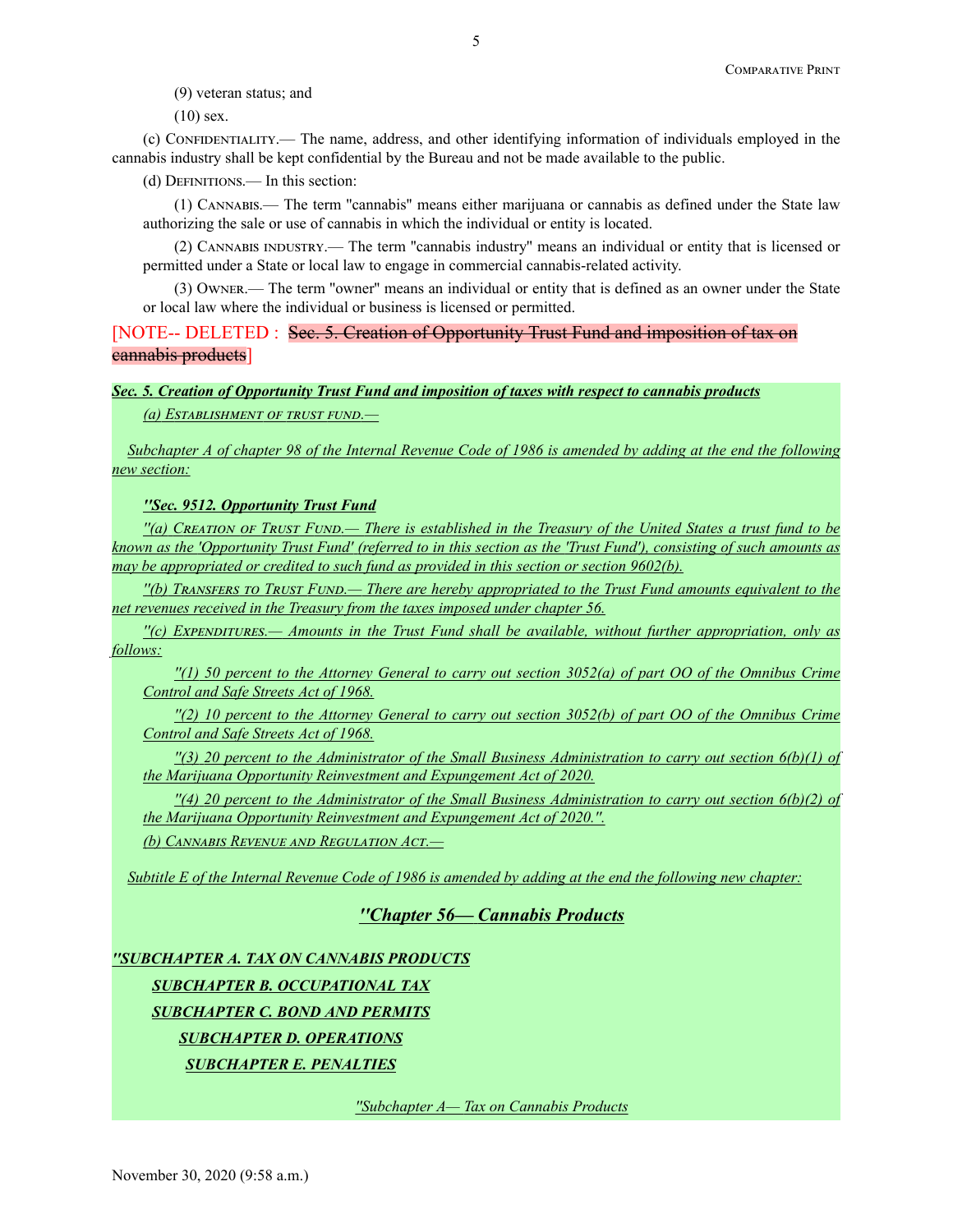(9) veteran status; and

(10) sex.

(c) Confidentiality.— The name, address, and other identifying information of individuals employed in the cannabis industry shall be kept confidential by the Bureau and not be made available to the public.

(d) Definitions.— In this section:

(1) Cannabis.— The term ''cannabis'' means either marijuana or cannabis as defined under the State law authorizing the sale or use of cannabis in which the individual or entity is located.

(2) Cannabis industry.— The term ''cannabis industry'' means an individual or entity that is licensed or permitted under a State or local law to engage in commercial cannabis-related activity.

(3) Owner.— The term ''owner'' means an individual or entity that is defined as an owner under the State or local law where the individual or business is licensed or permitted.

[NOTE-- DELETED : Sec. 5. Creation of Opportunity Trust Fund and imposition of tax on cannabis products]

# *Sec. 5. Creation of Opportunity Trust Fund and imposition of taxes with respect to cannabis products*

*(a) Establishment of trust fund.—*

*Subchapter A of chapter 98 of the Internal Revenue Code of 1986 is amended by adding at the end the following new section:*

*''Sec. 9512. Opportunity Trust Fund*

*''(a) Creation of Trust Fund.— There is established in the Treasury of the United States a trust fund to be known as the 'Opportunity Trust Fund' (referred to in this section as the 'Trust Fund'), consisting of such amounts as may be appropriated or credited to such fund as provided in this section or section 9602(b).*

*''(b) Transfers to Trust Fund.— There are hereby appropriated to the Trust Fund amounts equivalent to the net revenues received in the Treasury from the taxes imposed under chapter 56.*

*''(c) Expenditures.— Amounts in the Trust Fund shall be available, without further appropriation, only as follows:*

*''(1) 50 percent to the Attorney General to carry out section 3052(a) of part OO of the Omnibus Crime Control and Safe Streets Act of 1968.*

*''(2) 10 percent to the Attorney General to carry out section 3052(b) of part OO of the Omnibus Crime Control and Safe Streets Act of 1968.*

*''(3) 20 percent to the Administrator of the Small Business Administration to carry out section 6(b)(1) of the Marijuana Opportunity Reinvestment and Expungement Act of 2020.*

*''(4) 20 percent to the Administrator of the Small Business Administration to carry out section 6(b)(2) of the Marijuana Opportunity Reinvestment and Expungement Act of 2020.''.*

*(b) Cannabis Revenue and Regulation Act.—*

*Subtitle E of the Internal Revenue Code of 1986 is amended by adding at the end the following new chapter:*

# *''Chapter 56— Cannabis Products*

*''SUBCHAPTER A. TAX ON CANNABIS PRODUCTS SUBCHAPTER B. OCCUPATIONAL TAX SUBCHAPTER C. BOND AND PERMITS SUBCHAPTER D. OPERATIONS SUBCHAPTER E. PENALTIES*

*''Subchapter A— Tax on Cannabis Products*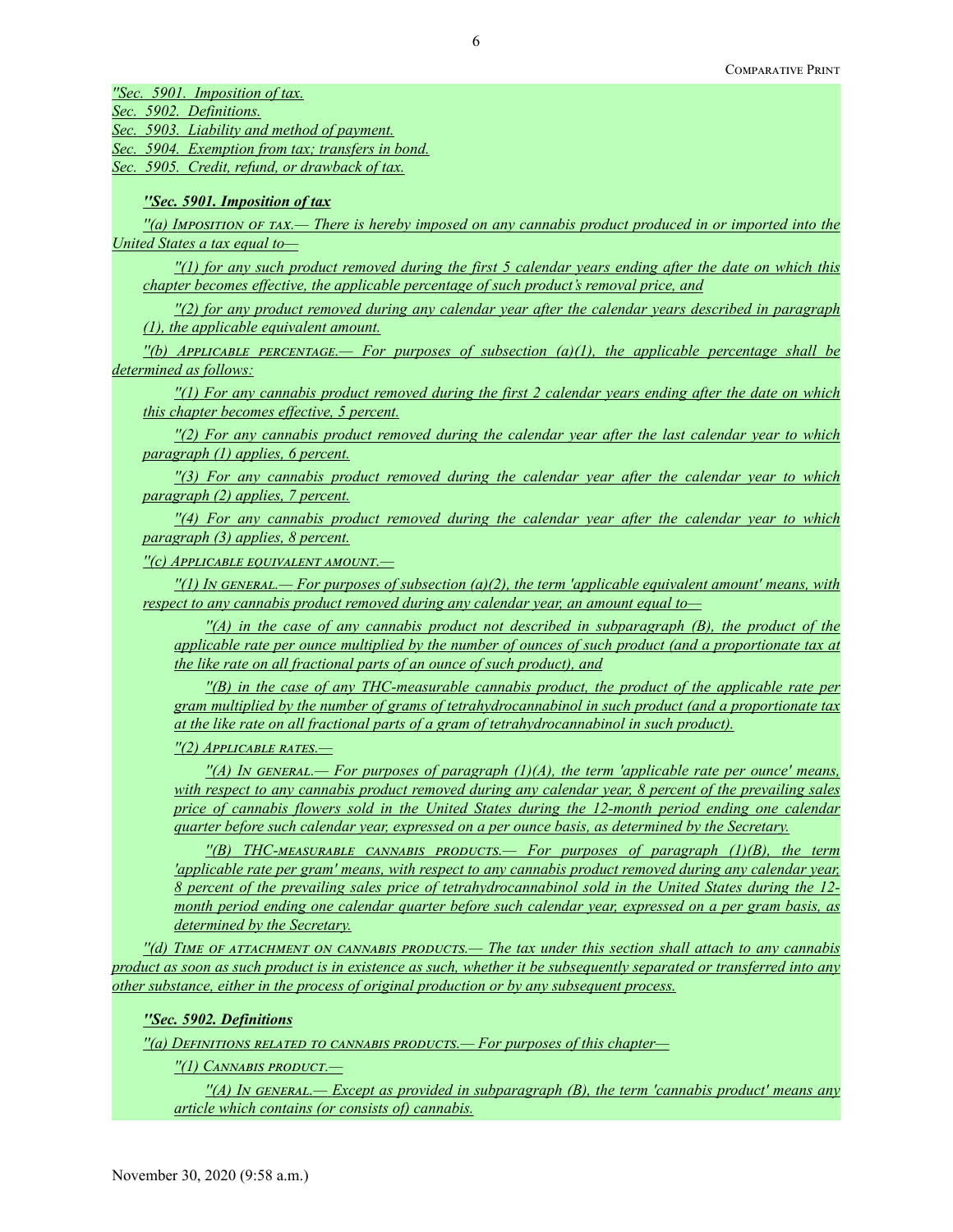*''Sec. 5901. Imposition of tax.*

*Sec. 5902. Definitions.*

*Sec. 5903. Liability and method of payment.*

*Sec. 5904. Exemption from tax; transfers in bond.*

*Sec. 5905. Credit, refund, or drawback of tax.*

### *''Sec. 5901. Imposition of tax*

*''(a) Imposition of tax.— There is hereby imposed on any cannabis product produced in or imported into the United States a tax equal to—*

*''(1) for any such product removed during the first 5 calendar years ending after the date on which this chapter becomes effective, the applicable percentage of such product's removal price, and*

*''(2) for any product removed during any calendar year after the calendar years described in paragraph (1), the applicable equivalent amount.*

*''(b) Applicable percentage.— For purposes of subsection (a)(1), the applicable percentage shall be determined as follows:*

*''(1) For any cannabis product removed during the first 2 calendar years ending after the date on which this chapter becomes effective, 5 percent.*

*''(2) For any cannabis product removed during the calendar year after the last calendar year to which paragraph (1) applies, 6 percent.*

*''(3) For any cannabis product removed during the calendar year after the calendar year to which paragraph (2) applies, 7 percent.*

*''(4) For any cannabis product removed during the calendar year after the calendar year to which paragraph (3) applies, 8 percent.*

*''(c) Applicable equivalent amount.—*

*''(1) In general.— For purposes of subsection (a)(2), the term 'applicable equivalent amount' means, with respect to any cannabis product removed during any calendar year, an amount equal to—*

*''(A) in the case of any cannabis product not described in subparagraph (B), the product of the applicable rate per ounce multiplied by the number of ounces of such product (and a proportionate tax at the like rate on all fractional parts of an ounce of such product), and*

*''(B) in the case of any THC-measurable cannabis product, the product of the applicable rate per gram multiplied by the number of grams of tetrahydrocannabinol in such product (and a proportionate tax at the like rate on all fractional parts of a gram of tetrahydrocannabinol in such product).*

*''(2) Applicable rates.—*

*''(A) In general.— For purposes of paragraph (1)(A), the term 'applicable rate per ounce' means, with respect to any cannabis product removed during any calendar year, 8 percent of the prevailing sales price of cannabis flowers sold in the United States during the 12-month period ending one calendar quarter before such calendar year, expressed on a per ounce basis, as determined by the Secretary.*

*''(B) THC-measurable cannabis products.— For purposes of paragraph (1)(B), the term 'applicable rate per gram' means, with respect to any cannabis product removed during any calendar year, 8 percent of the prevailing sales price of tetrahydrocannabinol sold in the United States during the 12 month period ending one calendar quarter before such calendar year, expressed on a per gram basis, as determined by the Secretary.*

*''(d) Time of attachment on cannabis products.— The tax under this section shall attach to any cannabis product as soon as such product is in existence as such, whether it be subsequently separated or transferred into any other substance, either in the process of original production or by any subsequent process.*

## *''Sec. 5902. Definitions*

*''(a) Definitions related to cannabis products.— For purposes of this chapter—*

*''(1) Cannabis product.—*

*''(A) In general.— Except as provided in subparagraph (B), the term 'cannabis product' means any article which contains (or consists of) cannabis.*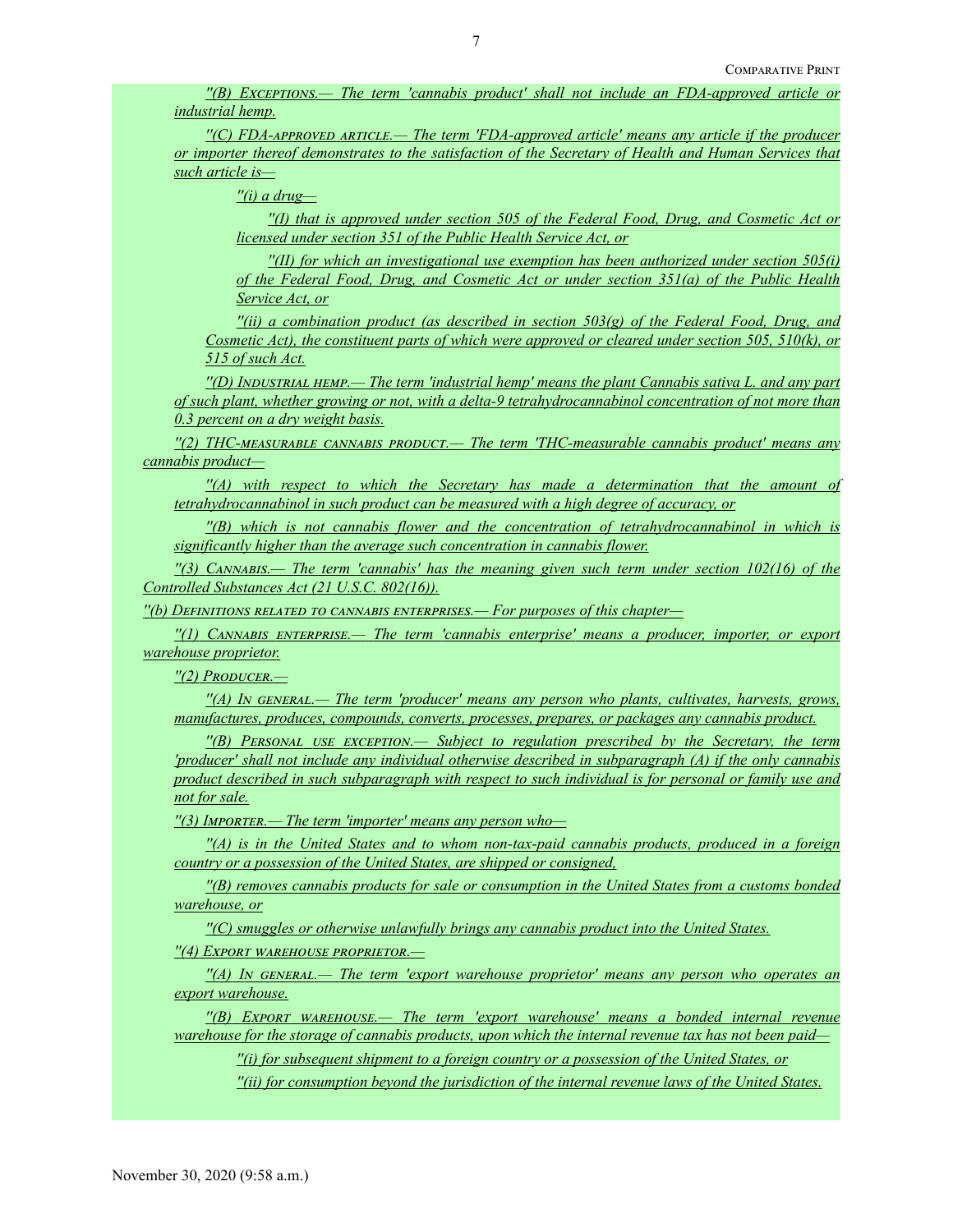*''(B) Exceptions.— The term 'cannabis product' shall not include an FDA-approved article or industrial hemp.*

*''(C) FDA-approved article.— The term 'FDA-approved article' means any article if the producer or importer thereof demonstrates to the satisfaction of the Secretary of Health and Human Services that such article is—*

*''(i) a drug—*

*''(I) that is approved under section 505 of the Federal Food, Drug, and Cosmetic Act or licensed under section 351 of the Public Health Service Act, or*

*''(II) for which an investigational use exemption has been authorized under section 505(i) of the Federal Food, Drug, and Cosmetic Act or under section 351(a) of the Public Health Service Act, or*

*''(ii) a combination product (as described in section 503(g) of the Federal Food, Drug, and Cosmetic Act), the constituent parts of which were approved or cleared under section 505, 510(k), or 515 of such Act.*

*''(D) Industrial hemp.— The term 'industrial hemp' means the plant Cannabis sativa L. and any part of such plant, whether growing or not, with a delta-9 tetrahydrocannabinol concentration of not more than 0.3 percent on a dry weight basis.*

*''(2) THC-measurable cannabis product.— The term 'THC-measurable cannabis product' means any cannabis product—*

*''(A) with respect to which the Secretary has made a determination that the amount of tetrahydrocannabinol in such product can be measured with a high degree of accuracy, or*

*''(B) which is not cannabis flower and the concentration of tetrahydrocannabinol in which is significantly higher than the average such concentration in cannabis flower.*

*''(3) Cannabis.— The term 'cannabis' has the meaning given such term under section 102(16) of the Controlled Substances Act (21 U.S.C. 802(16)).*

*''(b) Definitions related to cannabis enterprises.— For purposes of this chapter—*

*''(1) Cannabis enterprise.— The term 'cannabis enterprise' means a producer, importer, or export warehouse proprietor.*

*''(2) Producer.—*

*''(A) In general.— The term 'producer' means any person who plants, cultivates, harvests, grows, manufactures, produces, compounds, converts, processes, prepares, or packages any cannabis product.*

*''(B) Personal use exception.— Subject to regulation prescribed by the Secretary, the term 'producer' shall not include any individual otherwise described in subparagraph (A) if the only cannabis product described in such subparagraph with respect to such individual is for personal or family use and not for sale.*

*''(3) Importer.— The term 'importer' means any person who—*

*''(A) is in the United States and to whom non-tax-paid cannabis products, produced in a foreign country or a possession of the United States, are shipped or consigned,*

*''(B) removes cannabis products for sale or consumption in the United States from a customs bonded warehouse, or*

*''(C) smuggles or otherwise unlawfully brings any cannabis product into the United States.*

*''(4) Export warehouse proprietor.—*

*''(A) In general.— The term 'export warehouse proprietor' means any person who operates an export warehouse.*

*''(B) Export warehouse.— The term 'export warehouse' means a bonded internal revenue warehouse for the storage of cannabis products, upon which the internal revenue tax has not been paid—*

*''(i) for subsequent shipment to a foreign country or a possession of the United States, or*

*''(ii) for consumption beyond the jurisdiction of the internal revenue laws of the United States.*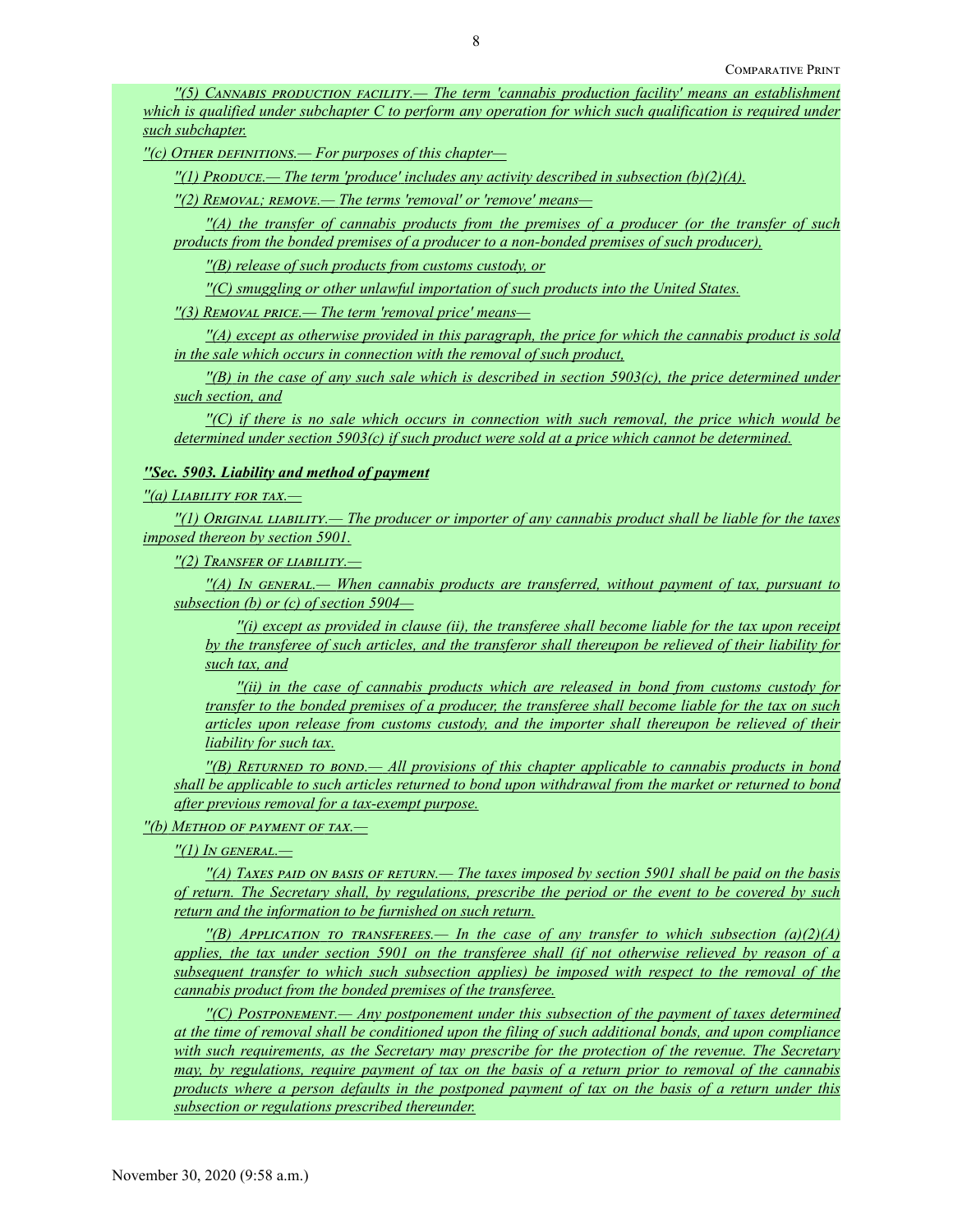*''(5) Cannabis production facility.— The term 'cannabis production facility' means an establishment which is qualified under subchapter C to perform any operation for which such qualification is required under such subchapter.*

*''(c) Other definitions.— For purposes of this chapter—*

*''(1) Produce.— The term 'produce' includes any activity described in subsection (b)(2)(A).*

*''(2) Removal; remove.— The terms 'removal' or 'remove' means—*

*''(A) the transfer of cannabis products from the premises of a producer (or the transfer of such products from the bonded premises of a producer to a non-bonded premises of such producer),*

*''(B) release of such products from customs custody, or*

*''(C) smuggling or other unlawful importation of such products into the United States.*

*''(3) Removal price.— The term 'removal price' means—*

*''(A) except as otherwise provided in this paragraph, the price for which the cannabis product is sold in the sale which occurs in connection with the removal of such product,*

*''(B) in the case of any such sale which is described in section 5903(c), the price determined under such section, and*

*''(C) if there is no sale which occurs in connection with such removal, the price which would be determined under section 5903(c) if such product were sold at a price which cannot be determined.*

### *''Sec. 5903. Liability and method of payment*

### *''(a) Liability for tax.—*

*''(1) Original liability.— The producer or importer of any cannabis product shall be liable for the taxes imposed thereon by section 5901.*

*''(2) Transfer of liability.—*

*''(A) In general.— When cannabis products are transferred, without payment of tax, pursuant to subsection (b) or (c) of section 5904—*

*''(i) except as provided in clause (ii), the transferee shall become liable for the tax upon receipt by the transferee of such articles, and the transferor shall thereupon be relieved of their liability for such tax, and*

*''(ii) in the case of cannabis products which are released in bond from customs custody for transfer to the bonded premises of a producer, the transferee shall become liable for the tax on such articles upon release from customs custody, and the importer shall thereupon be relieved of their liability for such tax.*

*''(B) Returned to bond.— All provisions of this chapter applicable to cannabis products in bond shall be applicable to such articles returned to bond upon withdrawal from the market or returned to bond after previous removal for a tax-exempt purpose.*

## *''(b) Method of payment of tax.—*

*''(1) In general.—*

*''(A) Taxes paid on basis of return.— The taxes imposed by section 5901 shall be paid on the basis of return. The Secretary shall, by regulations, prescribe the period or the event to be covered by such return and the information to be furnished on such return.*

 $\binom{1}{B}$  *Application to transferees.— In the case of any transfer to which subsection (a)(2)(A) applies, the tax under section 5901 on the transferee shall (if not otherwise relieved by reason of a subsequent transfer to which such subsection applies) be imposed with respect to the removal of the cannabis product from the bonded premises of the transferee.*

*''(C) Postponement.— Any postponement under this subsection of the payment of taxes determined at the time of removal shall be conditioned upon the filing of such additional bonds, and upon compliance with such requirements, as the Secretary may prescribe for the protection of the revenue. The Secretary may, by regulations, require payment of tax on the basis of a return prior to removal of the cannabis products where a person defaults in the postponed payment of tax on the basis of a return under this subsection or regulations prescribed thereunder.*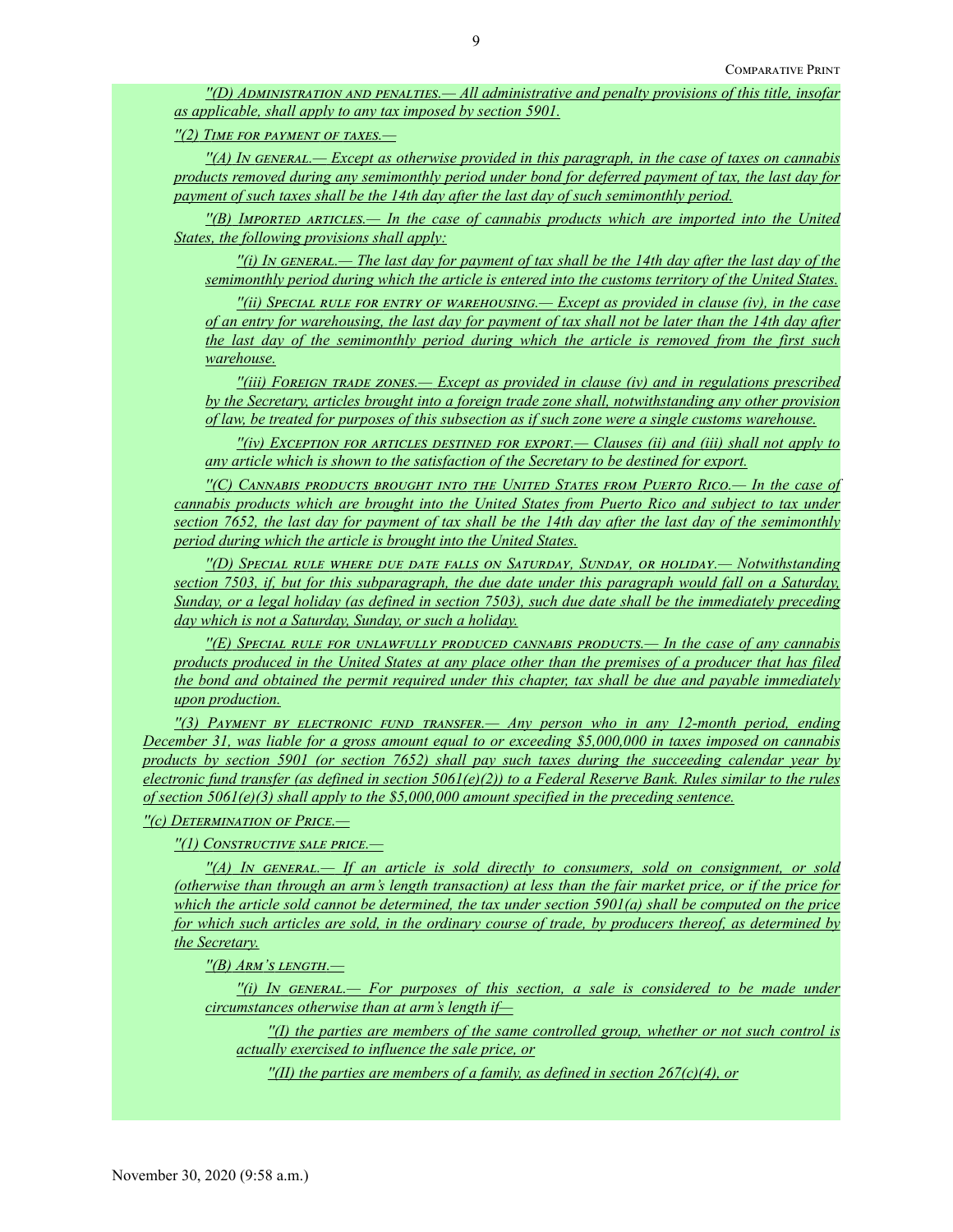*''(D) Administration and penalties.— All administrative and penalty provisions of this title, insofar as applicable, shall apply to any tax imposed by section 5901.*

*''(2) Time for payment of taxes.—*

*''(A) In general.— Except as otherwise provided in this paragraph, in the case of taxes on cannabis products removed during any semimonthly period under bond for deferred payment of tax, the last day for payment of such taxes shall be the 14th day after the last day of such semimonthly period.*

*''(B) Imported articles.— In the case of cannabis products which are imported into the United States, the following provisions shall apply:*

*''(i) In general.— The last day for payment of tax shall be the 14th day after the last day of the semimonthly period during which the article is entered into the customs territory of the United States.*

*''(ii) Special rule for entry of warehousing.— Except as provided in clause (iv), in the case of an entry for warehousing, the last day for payment of tax shall not be later than the 14th day after the last day of the semimonthly period during which the article is removed from the first such warehouse.*

*''(iii) Foreign trade zones.— Except as provided in clause (iv) and in regulations prescribed by the Secretary, articles brought into a foreign trade zone shall, notwithstanding any other provision of law, be treated for purposes of this subsection as if such zone were a single customs warehouse.*

*''(iv) Exception for articles destined for export.— Clauses (ii) and (iii) shall not apply to any article which is shown to the satisfaction of the Secretary to be destined for export.*

*''(C) Cannabis products brought into the United States from Puerto Rico.— In the case of cannabis products which are brought into the United States from Puerto Rico and subject to tax under section 7652, the last day for payment of tax shall be the 14th day after the last day of the semimonthly period during which the article is brought into the United States.*

*''(D) Special rule where due date falls on Saturday, Sunday, or holiday.— Notwithstanding section 7503, if, but for this subparagraph, the due date under this paragraph would fall on a Saturday, Sunday, or a legal holiday (as defined in section 7503), such due date shall be the immediately preceding day which is not a Saturday, Sunday, or such a holiday.*

*''(E) Special rule for unlawfully produced cannabis products.— In the case of any cannabis products produced in the United States at any place other than the premises of a producer that has filed the bond and obtained the permit required under this chapter, tax shall be due and payable immediately upon production.*

*''(3) Payment by electronic fund transfer.— Any person who in any 12-month period, ending December 31, was liable for a gross amount equal to or exceeding \$5,000,000 in taxes imposed on cannabis products by section 5901 (or section 7652) shall pay such taxes during the succeeding calendar year by electronic fund transfer (as defined in section 5061(e)(2)) to a Federal Reserve Bank. Rules similar to the rules of section 5061(e)(3) shall apply to the \$5,000,000 amount specified in the preceding sentence.*

*''(c) Determination of Price.—*

*''(1) Constructive sale price.—*

*''(A) In general.— If an article is sold directly to consumers, sold on consignment, or sold (otherwise than through an arm's length transaction) at less than the fair market price, or if the price for which the article sold cannot be determined, the tax under section 5901(a) shall be computed on the price for which such articles are sold, in the ordinary course of trade, by producers thereof, as determined by the Secretary.*

*''(B) Arm's length.—*

*''(i) In general.— For purposes of this section, a sale is considered to be made under circumstances otherwise than at arm's length if—*

*''(I) the parties are members of the same controlled group, whether or not such control is actually exercised to influence the sale price, or*

*''(II) the parties are members of a family, as defined in section 267(c)(4), or*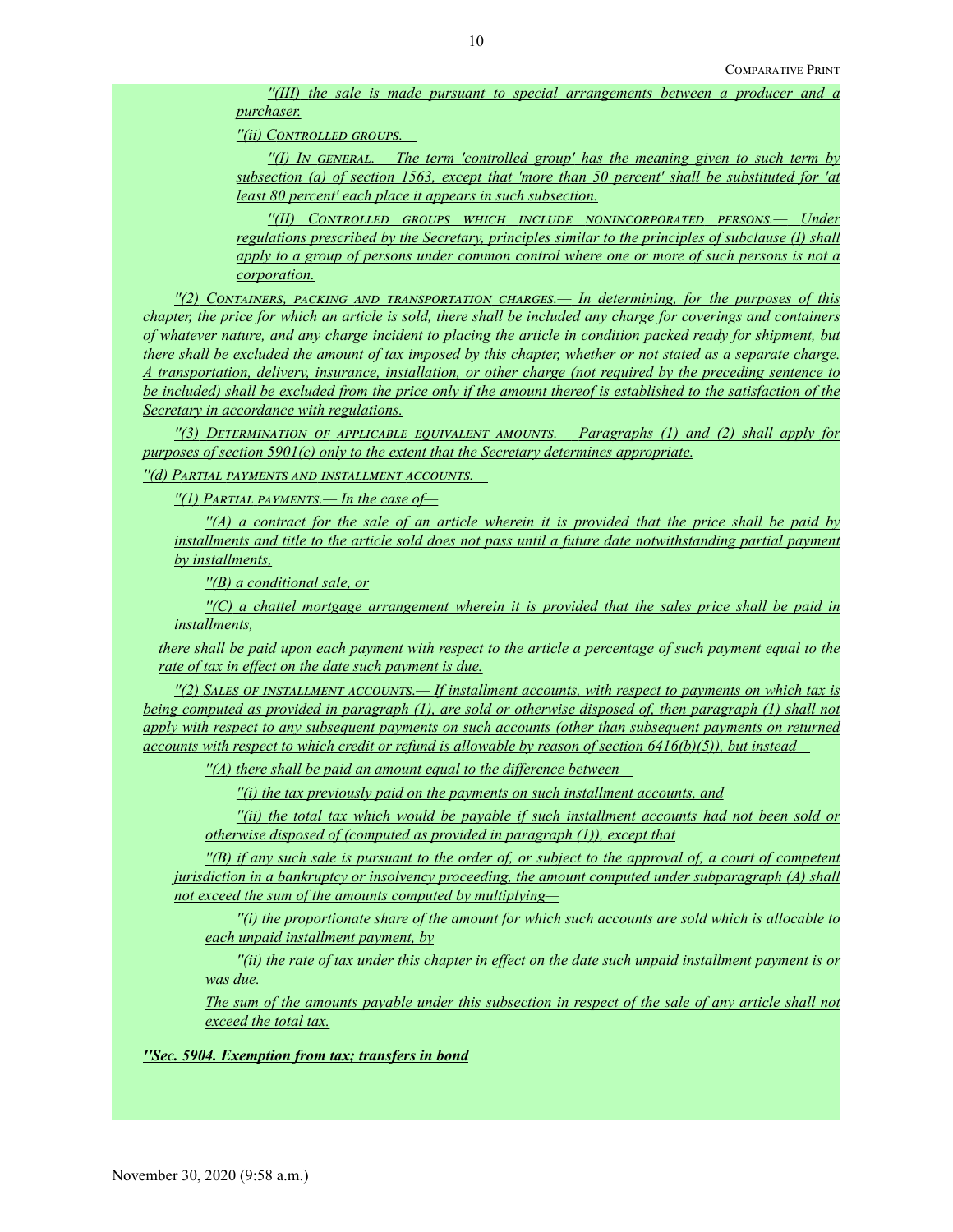*''(III) the sale is made pursuant to special arrangements between a producer and a purchaser.*

*''(ii) Controlled groups.—*

*''(I) In general.— The term 'controlled group' has the meaning given to such term by subsection (a) of section 1563, except that 'more than 50 percent' shall be substituted for 'at least 80 percent' each place it appears in such subsection.*

*''(II) Controlled groups which include nonincorporated persons.— Under regulations prescribed by the Secretary, principles similar to the principles of subclause (I) shall apply to a group of persons under common control where one or more of such persons is not a corporation.*

*''(2) Containers, packing and transportation charges.— In determining, for the purposes of this chapter, the price for which an article is sold, there shall be included any charge for coverings and containers of whatever nature, and any charge incident to placing the article in condition packed ready for shipment, but there shall be excluded the amount of tax imposed by this chapter, whether or not stated as a separate charge. A transportation, delivery, insurance, installation, or other charge (not required by the preceding sentence to be included) shall be excluded from the price only if the amount thereof is established to the satisfaction of the Secretary in accordance with regulations.*

*''(3) Determination of applicable equivalent amounts.— Paragraphs (1) and (2) shall apply for purposes of section 5901(c) only to the extent that the Secretary determines appropriate.*

*''(d) Partial payments and installment accounts.—*

*''(1) Partial payments.— In the case of—*

*''(A) a contract for the sale of an article wherein it is provided that the price shall be paid by installments and title to the article sold does not pass until a future date notwithstanding partial payment by installments,*

*''(B) a conditional sale, or*

*''(C) a chattel mortgage arrangement wherein it is provided that the sales price shall be paid in installments,*

*there shall be paid upon each payment with respect to the article a percentage of such payment equal to the rate of tax in effect on the date such payment is due.*

*''(2) Sales of installment accounts.— If installment accounts, with respect to payments on which tax is being computed as provided in paragraph (1), are sold or otherwise disposed of, then paragraph (1) shall not apply with respect to any subsequent payments on such accounts (other than subsequent payments on returned accounts with respect to which credit or refund is allowable by reason of section 6416(b)(5)), but instead—*

*''(A) there shall be paid an amount equal to the difference between—*

*''(i) the tax previously paid on the payments on such installment accounts, and*

*''(ii) the total tax which would be payable if such installment accounts had not been sold or otherwise disposed of (computed as provided in paragraph (1)), except that*

*''(B) if any such sale is pursuant to the order of, or subject to the approval of, a court of competent jurisdiction in a bankruptcy or insolvency proceeding, the amount computed under subparagraph (A) shall not exceed the sum of the amounts computed by multiplying—*

*''(i) the proportionate share of the amount for which such accounts are sold which is allocable to each unpaid installment payment, by*

*''(ii) the rate of tax under this chapter in effect on the date such unpaid installment payment is or was due.*

*The sum of the amounts payable under this subsection in respect of the sale of any article shall not exceed the total tax.*

*''Sec. 5904. Exemption from tax; transfers in bond*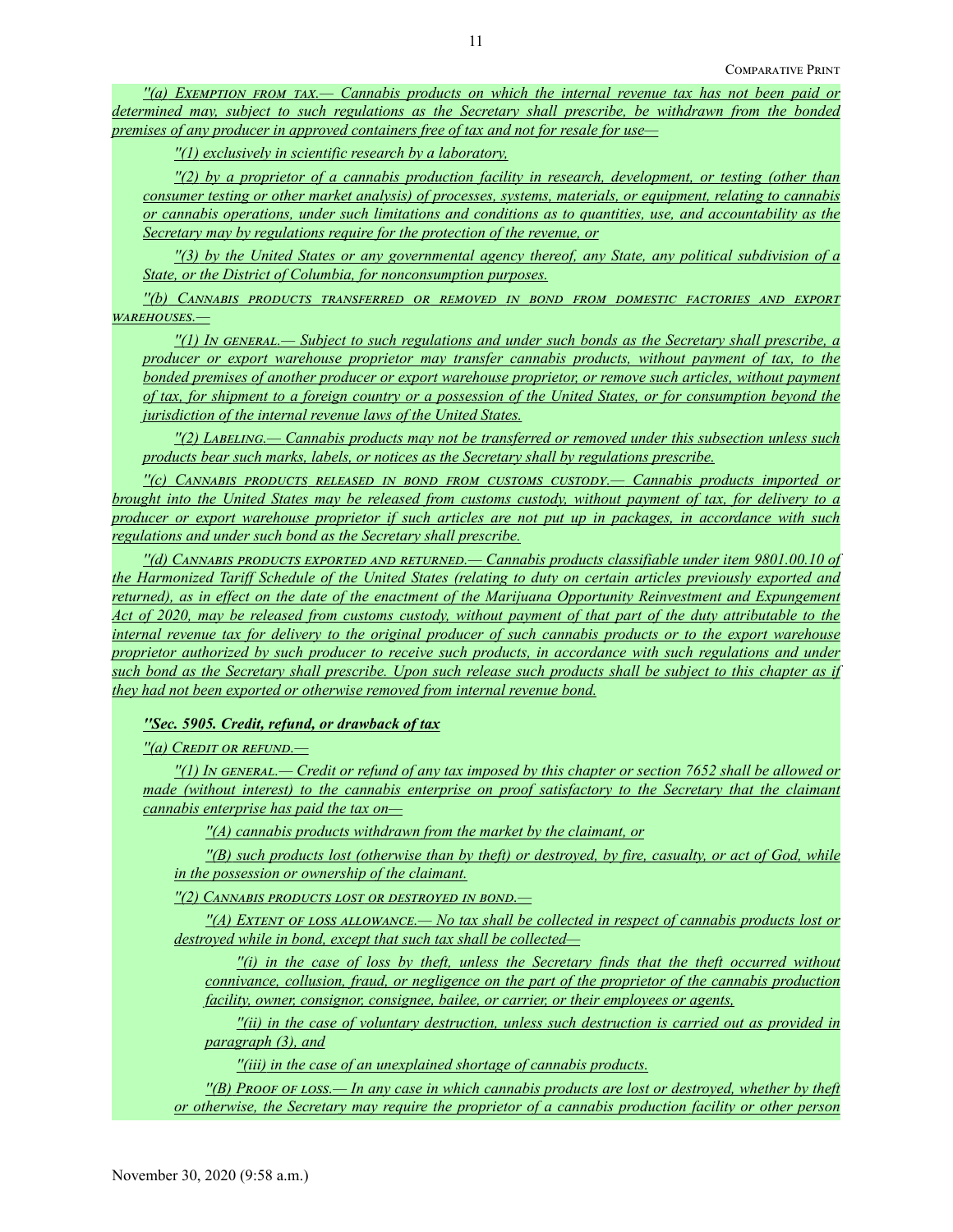*''(a) Exemption from tax.— Cannabis products on which the internal revenue tax has not been paid or determined may, subject to such regulations as the Secretary shall prescribe, be withdrawn from the bonded premises of any producer in approved containers free of tax and not for resale for use—*

*''(1) exclusively in scientific research by a laboratory,*

*''(2) by a proprietor of a cannabis production facility in research, development, or testing (other than consumer testing or other market analysis) of processes, systems, materials, or equipment, relating to cannabis or cannabis operations, under such limitations and conditions as to quantities, use, and accountability as the Secretary may by regulations require for the protection of the revenue, or*

*''(3) by the United States or any governmental agency thereof, any State, any political subdivision of a State, or the District of Columbia, for nonconsumption purposes.*

*''(b) Cannabis products transferred or removed in bond from domestic factories and export warehouses.—*

*''(1) In general.— Subject to such regulations and under such bonds as the Secretary shall prescribe, a producer or export warehouse proprietor may transfer cannabis products, without payment of tax, to the bonded premises of another producer or export warehouse proprietor, or remove such articles, without payment of tax, for shipment to a foreign country or a possession of the United States, or for consumption beyond the jurisdiction of the internal revenue laws of the United States.*

*''(2) Labeling.— Cannabis products may not be transferred or removed under this subsection unless such products bear such marks, labels, or notices as the Secretary shall by regulations prescribe.*

*''(c) Cannabis products released in bond from customs custody.— Cannabis products imported or brought into the United States may be released from customs custody, without payment of tax, for delivery to a producer or export warehouse proprietor if such articles are not put up in packages, in accordance with such regulations and under such bond as the Secretary shall prescribe.*

*''(d) Cannabis products exported and returned.— Cannabis products classifiable under item 9801.00.10 of the Harmonized Tariff Schedule of the United States (relating to duty on certain articles previously exported and returned), as in effect on the date of the enactment of the Marijuana Opportunity Reinvestment and Expungement Act of 2020, may be released from customs custody, without payment of that part of the duty attributable to the internal revenue tax for delivery to the original producer of such cannabis products or to the export warehouse proprietor authorized by such producer to receive such products, in accordance with such regulations and under such bond as the Secretary shall prescribe. Upon such release such products shall be subject to this chapter as if they had not been exported or otherwise removed from internal revenue bond.*

## *''Sec. 5905. Credit, refund, or drawback of tax*

*''(a) Credit or refund.—*

*''(1) In general.— Credit or refund of any tax imposed by this chapter or section 7652 shall be allowed or made (without interest) to the cannabis enterprise on proof satisfactory to the Secretary that the claimant cannabis enterprise has paid the tax on—*

*''(A) cannabis products withdrawn from the market by the claimant, or*

*''(B) such products lost (otherwise than by theft) or destroyed, by fire, casualty, or act of God, while in the possession or ownership of the claimant.*

*''(2) Cannabis products lost or destroyed in bond.—*

*''(A) Extent of loss allowance.— No tax shall be collected in respect of cannabis products lost or destroyed while in bond, except that such tax shall be collected—*

*''(i) in the case of loss by theft, unless the Secretary finds that the theft occurred without connivance, collusion, fraud, or negligence on the part of the proprietor of the cannabis production facility, owner, consignor, consignee, bailee, or carrier, or their employees or agents,*

*''(ii) in the case of voluntary destruction, unless such destruction is carried out as provided in paragraph (3), and*

*''(iii) in the case of an unexplained shortage of cannabis products.*

*''(B) Proof of loss.— In any case in which cannabis products are lost or destroyed, whether by theft or otherwise, the Secretary may require the proprietor of a cannabis production facility or other person*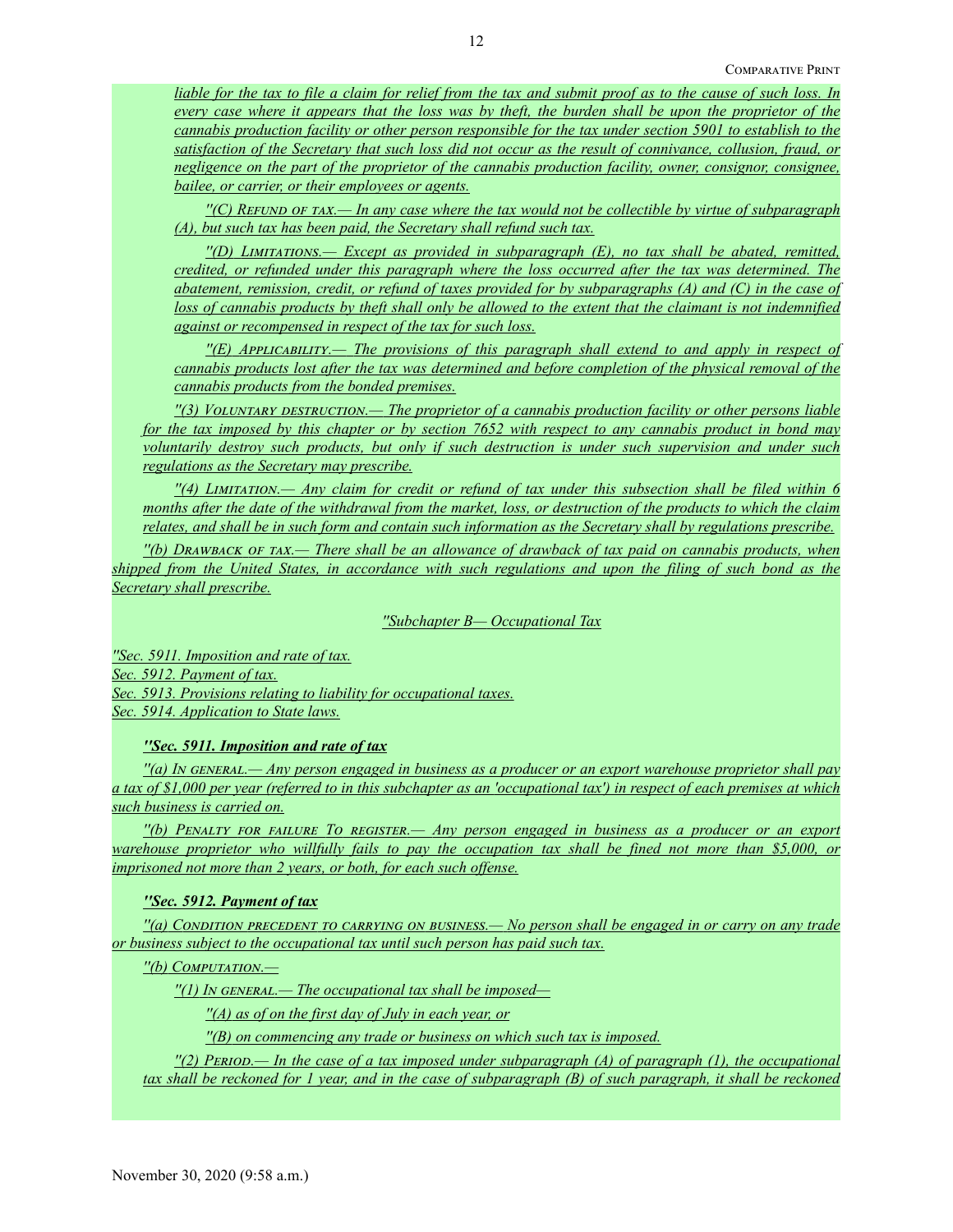*liable for the tax to file a claim for relief from the tax and submit proof as to the cause of such loss. In every case where it appears that the loss was by theft, the burden shall be upon the proprietor of the cannabis production facility or other person responsible for the tax under section 5901 to establish to the satisfaction of the Secretary that such loss did not occur as the result of connivance, collusion, fraud, or negligence on the part of the proprietor of the cannabis production facility, owner, consignor, consignee, bailee, or carrier, or their employees or agents.*

*''(C) Refund of tax.— In any case where the tax would not be collectible by virtue of subparagraph (A), but such tax has been paid, the Secretary shall refund such tax.*

*''(D) Limitations.— Except as provided in subparagraph (E), no tax shall be abated, remitted, credited, or refunded under this paragraph where the loss occurred after the tax was determined. The abatement, remission, credit, or refund of taxes provided for by subparagraphs (A) and (C) in the case of loss of cannabis products by theft shall only be allowed to the extent that the claimant is not indemnified against or recompensed in respect of the tax for such loss.*

*''(E) Applicability.— The provisions of this paragraph shall extend to and apply in respect of cannabis products lost after the tax was determined and before completion of the physical removal of the cannabis products from the bonded premises.*

*''(3) Voluntary destruction.— The proprietor of a cannabis production facility or other persons liable for the tax imposed by this chapter or by section 7652 with respect to any cannabis product in bond may voluntarily destroy such products, but only if such destruction is under such supervision and under such regulations as the Secretary may prescribe.*

*''(4) Limitation.— Any claim for credit or refund of tax under this subsection shall be filed within 6 months after the date of the withdrawal from the market, loss, or destruction of the products to which the claim relates, and shall be in such form and contain such information as the Secretary shall by regulations prescribe.*

*''(b) Drawback of tax.— There shall be an allowance of drawback of tax paid on cannabis products, when shipped from the United States, in accordance with such regulations and upon the filing of such bond as the Secretary shall prescribe.*

*''Subchapter B— Occupational Tax*

*''Sec. 5911. Imposition and rate of tax. Sec. 5912. Payment of tax. Sec. 5913. Provisions relating to liability for occupational taxes. Sec. 5914. Application to State laws.*

*''Sec. 5911. Imposition and rate of tax*

*''(a) In general.— Any person engaged in business as a producer or an export warehouse proprietor shall pay a tax of \$1,000 per year (referred to in this subchapter as an 'occupational tax') in respect of each premises at which such business is carried on.*

*''(b) Penalty for failure To register.— Any person engaged in business as a producer or an export warehouse proprietor who willfully fails to pay the occupation tax shall be fined not more than \$5,000, or imprisoned not more than 2 years, or both, for each such offense.*

## *''Sec. 5912. Payment of tax*

*''(a) Condition precedent to carrying on business.— No person shall be engaged in or carry on any trade or business subject to the occupational tax until such person has paid such tax.*

*''(b) Computation.—*

*''(1) In general.— The occupational tax shall be imposed—*

*''(A) as of on the first day of July in each year, or*

*''(B) on commencing any trade or business on which such tax is imposed.*

*''(2) Period.— In the case of a tax imposed under subparagraph (A) of paragraph (1), the occupational tax shall be reckoned for 1 year, and in the case of subparagraph (B) of such paragraph, it shall be reckoned*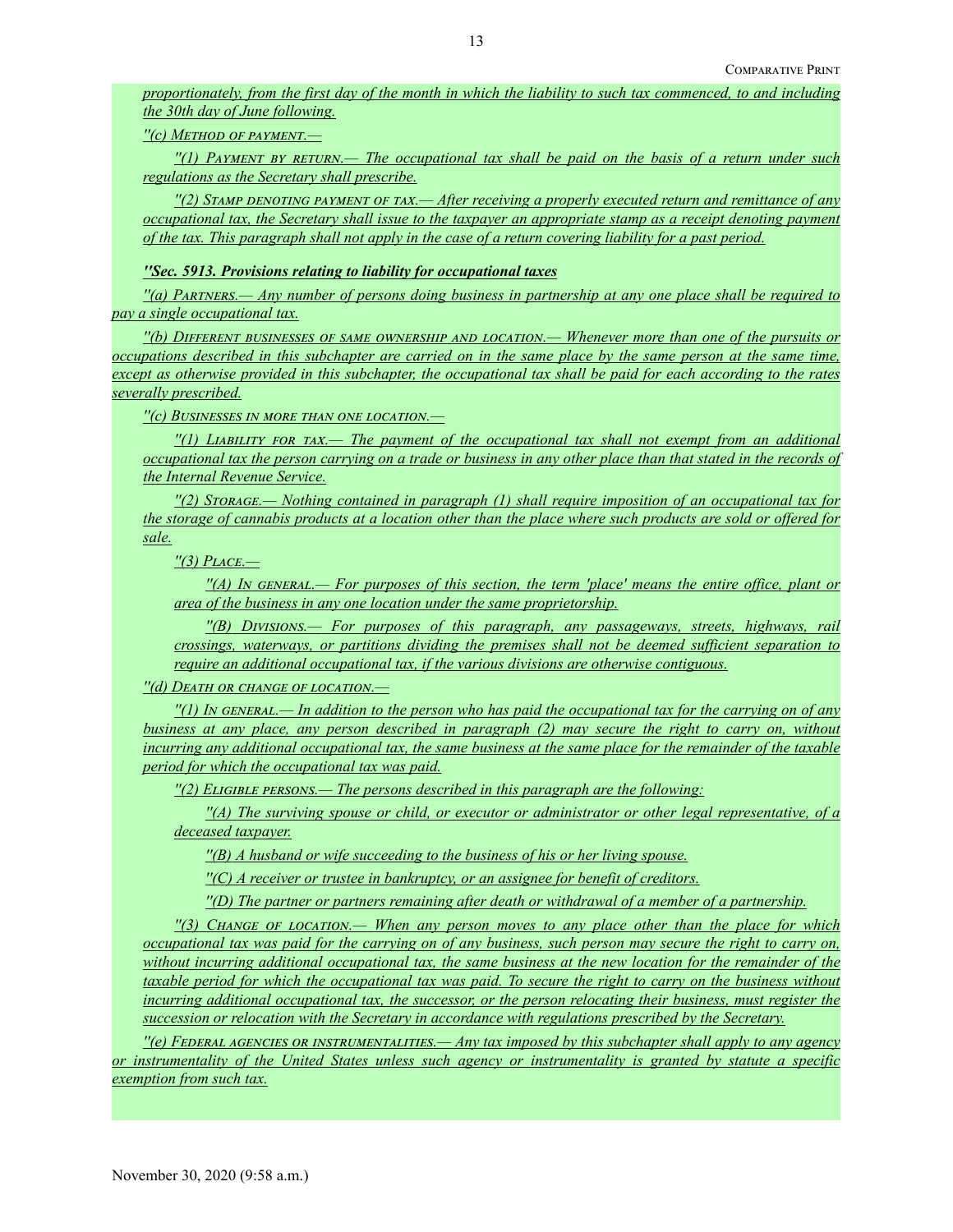*proportionately, from the first day of the month in which the liability to such tax commenced, to and including the 30th day of June following.*

*''(c) Method of payment.—*

*''(1) Payment by return.— The occupational tax shall be paid on the basis of a return under such regulations as the Secretary shall prescribe.*

*''(2) Stamp denoting payment of tax.— After receiving a properly executed return and remittance of any occupational tax, the Secretary shall issue to the taxpayer an appropriate stamp as a receipt denoting payment of the tax. This paragraph shall not apply in the case of a return covering liability for a past period.*

*''Sec. 5913. Provisions relating to liability for occupational taxes*

*''(a) Partners.— Any number of persons doing business in partnership at any one place shall be required to pay a single occupational tax.*

*''(b) Different businesses of same ownership and location.— Whenever more than one of the pursuits or occupations described in this subchapter are carried on in the same place by the same person at the same time, except as otherwise provided in this subchapter, the occupational tax shall be paid for each according to the rates severally prescribed.*

*''(c) Businesses in more than one location.—*

*''(1) Liability for tax.— The payment of the occupational tax shall not exempt from an additional occupational tax the person carrying on a trade or business in any other place than that stated in the records of the Internal Revenue Service.*

*''(2) Storage.— Nothing contained in paragraph (1) shall require imposition of an occupational tax for the storage of cannabis products at a location other than the place where such products are sold or offered for sale.*

*''(3) Place.—*

*''(A) In general.— For purposes of this section, the term 'place' means the entire office, plant or area of the business in any one location under the same proprietorship.*

*''(B) Divisions.— For purposes of this paragraph, any passageways, streets, highways, rail crossings, waterways, or partitions dividing the premises shall not be deemed sufficient separation to require an additional occupational tax, if the various divisions are otherwise contiguous.*

*''(d) Death or change of location.—*

*''(1) In general.— In addition to the person who has paid the occupational tax for the carrying on of any business at any place, any person described in paragraph (2) may secure the right to carry on, without incurring any additional occupational tax, the same business at the same place for the remainder of the taxable period for which the occupational tax was paid.*

*''(2) Eligible persons.— The persons described in this paragraph are the following:*

*''(A) The surviving spouse or child, or executor or administrator or other legal representative, of a deceased taxpayer.*

*''(B) A husband or wife succeeding to the business of his or her living spouse.*

*''(C) A receiver or trustee in bankruptcy, or an assignee for benefit of creditors.*

*''(D) The partner or partners remaining after death or withdrawal of a member of a partnership.*

*''(3) Change of location.— When any person moves to any place other than the place for which occupational tax was paid for the carrying on of any business, such person may secure the right to carry on, without incurring additional occupational tax, the same business at the new location for the remainder of the taxable period for which the occupational tax was paid. To secure the right to carry on the business without incurring additional occupational tax, the successor, or the person relocating their business, must register the succession or relocation with the Secretary in accordance with regulations prescribed by the Secretary.*

*''(e) Federal agencies or instrumentalities.— Any tax imposed by this subchapter shall apply to any agency or instrumentality of the United States unless such agency or instrumentality is granted by statute a specific exemption from such tax.*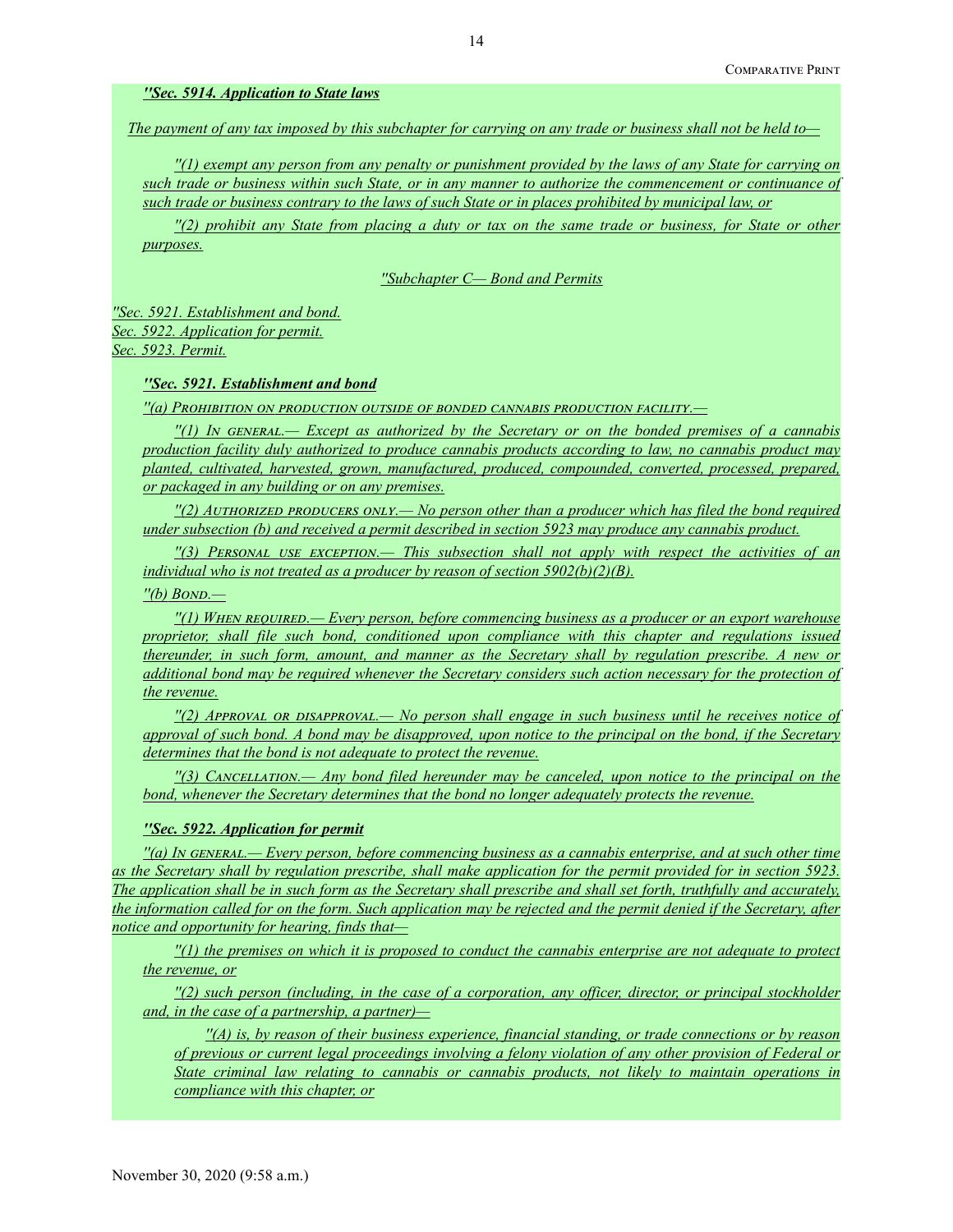## *''Sec. 5914. Application to State laws*

*The payment of any tax imposed by this subchapter for carrying on any trade or business shall not be held to—*

*''(1) exempt any person from any penalty or punishment provided by the laws of any State for carrying on such trade or business within such State, or in any manner to authorize the commencement or continuance of such trade or business contrary to the laws of such State or in places prohibited by municipal law, or*

*''(2) prohibit any State from placing a duty or tax on the same trade or business, for State or other purposes.*

*''Subchapter C— Bond and Permits*

*''Sec. 5921. Establishment and bond. Sec. 5922. Application for permit. Sec. 5923. Permit.*

# *''Sec. 5921. Establishment and bond*

*''(a) Prohibition on production outside of bonded cannabis production facility.—*

*''(1) In general.— Except as authorized by the Secretary or on the bonded premises of a cannabis production facility duly authorized to produce cannabis products according to law, no cannabis product may planted, cultivated, harvested, grown, manufactured, produced, compounded, converted, processed, prepared, or packaged in any building or on any premises.*

*''(2) Authorized producers only.— No person other than a producer which has filed the bond required under subsection (b) and received a permit described in section 5923 may produce any cannabis product.*

*''(3) Personal use exception.— This subsection shall not apply with respect the activities of an individual who is not treated as a producer by reason of section 5902(b)(2)(B).*

*''(b) Bond.—*

*''(1) When required.— Every person, before commencing business as a producer or an export warehouse proprietor, shall file such bond, conditioned upon compliance with this chapter and regulations issued thereunder, in such form, amount, and manner as the Secretary shall by regulation prescribe. A new or additional bond may be required whenever the Secretary considers such action necessary for the protection of the revenue.*

*''(2) Approval or disapproval.— No person shall engage in such business until he receives notice of approval of such bond. A bond may be disapproved, upon notice to the principal on the bond, if the Secretary determines that the bond is not adequate to protect the revenue.*

*''(3) Cancellation.— Any bond filed hereunder may be canceled, upon notice to the principal on the bond, whenever the Secretary determines that the bond no longer adequately protects the revenue.*

### *''Sec. 5922. Application for permit*

*''(a) In general.— Every person, before commencing business as a cannabis enterprise, and at such other time as the Secretary shall by regulation prescribe, shall make application for the permit provided for in section 5923. The application shall be in such form as the Secretary shall prescribe and shall set forth, truthfully and accurately, the information called for on the form. Such application may be rejected and the permit denied if the Secretary, after notice and opportunity for hearing, finds that—*

*''(1) the premises on which it is proposed to conduct the cannabis enterprise are not adequate to protect the revenue, or*

*''(2) such person (including, in the case of a corporation, any officer, director, or principal stockholder and, in the case of a partnership, a partner)—*

*''(A) is, by reason of their business experience, financial standing, or trade connections or by reason of previous or current legal proceedings involving a felony violation of any other provision of Federal or State criminal law relating to cannabis or cannabis products, not likely to maintain operations in compliance with this chapter, or*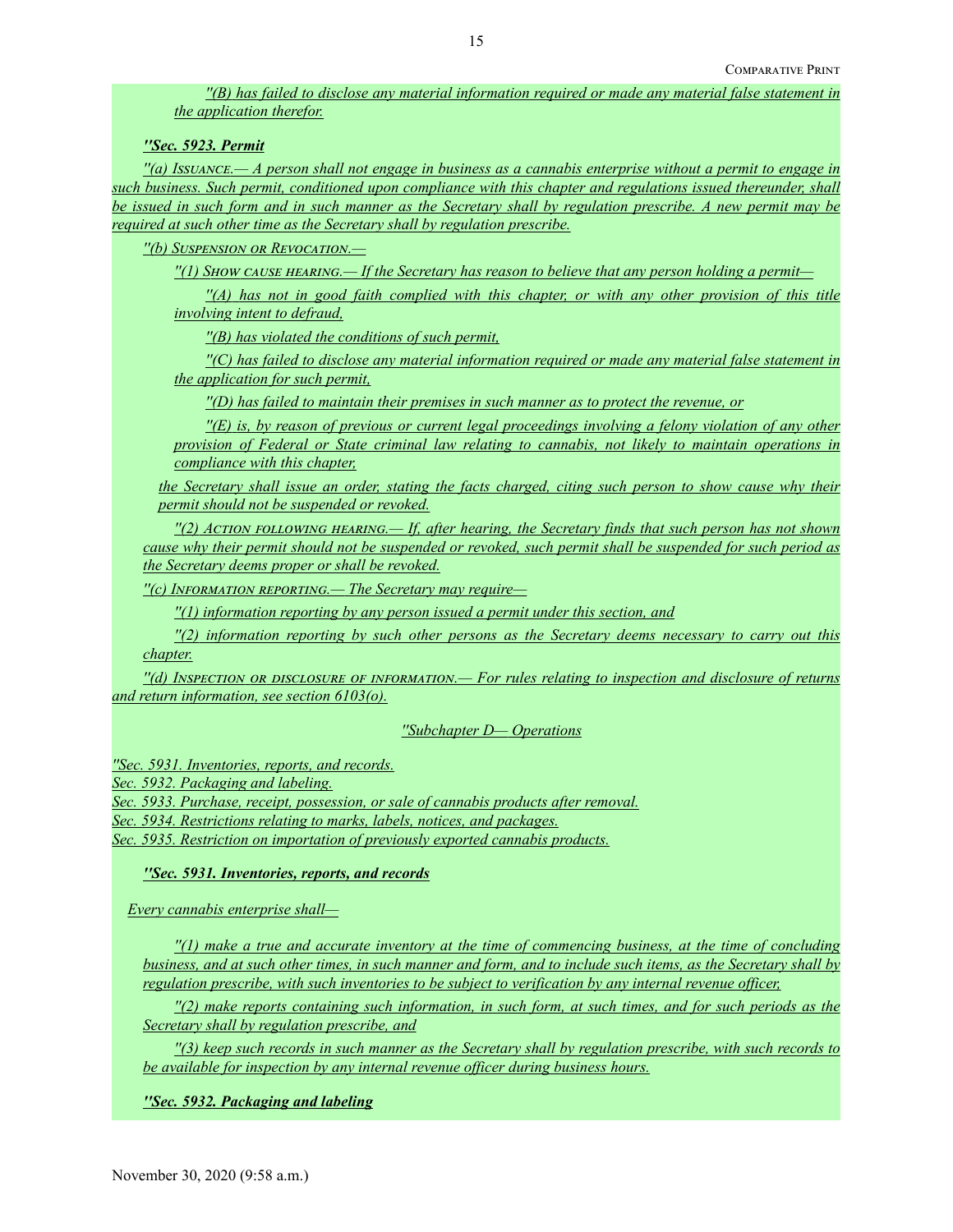*''(B) has failed to disclose any material information required or made any material false statement in the application therefor.*

*''Sec. 5923. Permit*

*''(a) Issuance.— A person shall not engage in business as a cannabis enterprise without a permit to engage in such business. Such permit, conditioned upon compliance with this chapter and regulations issued thereunder, shall be issued in such form and in such manner as the Secretary shall by regulation prescribe. A new permit may be required at such other time as the Secretary shall by regulation prescribe.*

*''(b) Suspension or Revocation.—*

*''(1) Show cause hearing.— If the Secretary has reason to believe that any person holding a permit—*

*''(A) has not in good faith complied with this chapter, or with any other provision of this title involving intent to defraud,*

*''(B) has violated the conditions of such permit,*

*''(C) has failed to disclose any material information required or made any material false statement in the application for such permit,*

*''(D) has failed to maintain their premises in such manner as to protect the revenue, or*

*''(E) is, by reason of previous or current legal proceedings involving a felony violation of any other provision of Federal or State criminal law relating to cannabis, not likely to maintain operations in compliance with this chapter,*

*the Secretary shall issue an order, stating the facts charged, citing such person to show cause why their permit should not be suspended or revoked.*

*''(2) Action following hearing.— If, after hearing, the Secretary finds that such person has not shown cause why their permit should not be suspended or revoked, such permit shall be suspended for such period as the Secretary deems proper or shall be revoked.*

*''(c) Information reporting.— The Secretary may require—*

*''(1) information reporting by any person issued a permit under this section, and*

*''(2) information reporting by such other persons as the Secretary deems necessary to carry out this chapter.*

*''(d) Inspection or disclosure of information.— For rules relating to inspection and disclosure of returns and return information, see section 6103(o).*

*''Subchapter D— Operations*

*''Sec. 5931. Inventories, reports, and records.*

*Sec. 5932. Packaging and labeling.*

*Sec. 5933. Purchase, receipt, possession, or sale of cannabis products after removal.*

*Sec. 5934. Restrictions relating to marks, labels, notices, and packages.*

*Sec. 5935. Restriction on importation of previously exported cannabis products.*

*''Sec. 5931. Inventories, reports, and records*

*Every cannabis enterprise shall—*

*''(1) make a true and accurate inventory at the time of commencing business, at the time of concluding business, and at such other times, in such manner and form, and to include such items, as the Secretary shall by regulation prescribe, with such inventories to be subject to verification by any internal revenue officer,*

*''(2) make reports containing such information, in such form, at such times, and for such periods as the Secretary shall by regulation prescribe, and*

*''(3) keep such records in such manner as the Secretary shall by regulation prescribe, with such records to be available for inspection by any internal revenue officer during business hours.*

*''Sec. 5932. Packaging and labeling*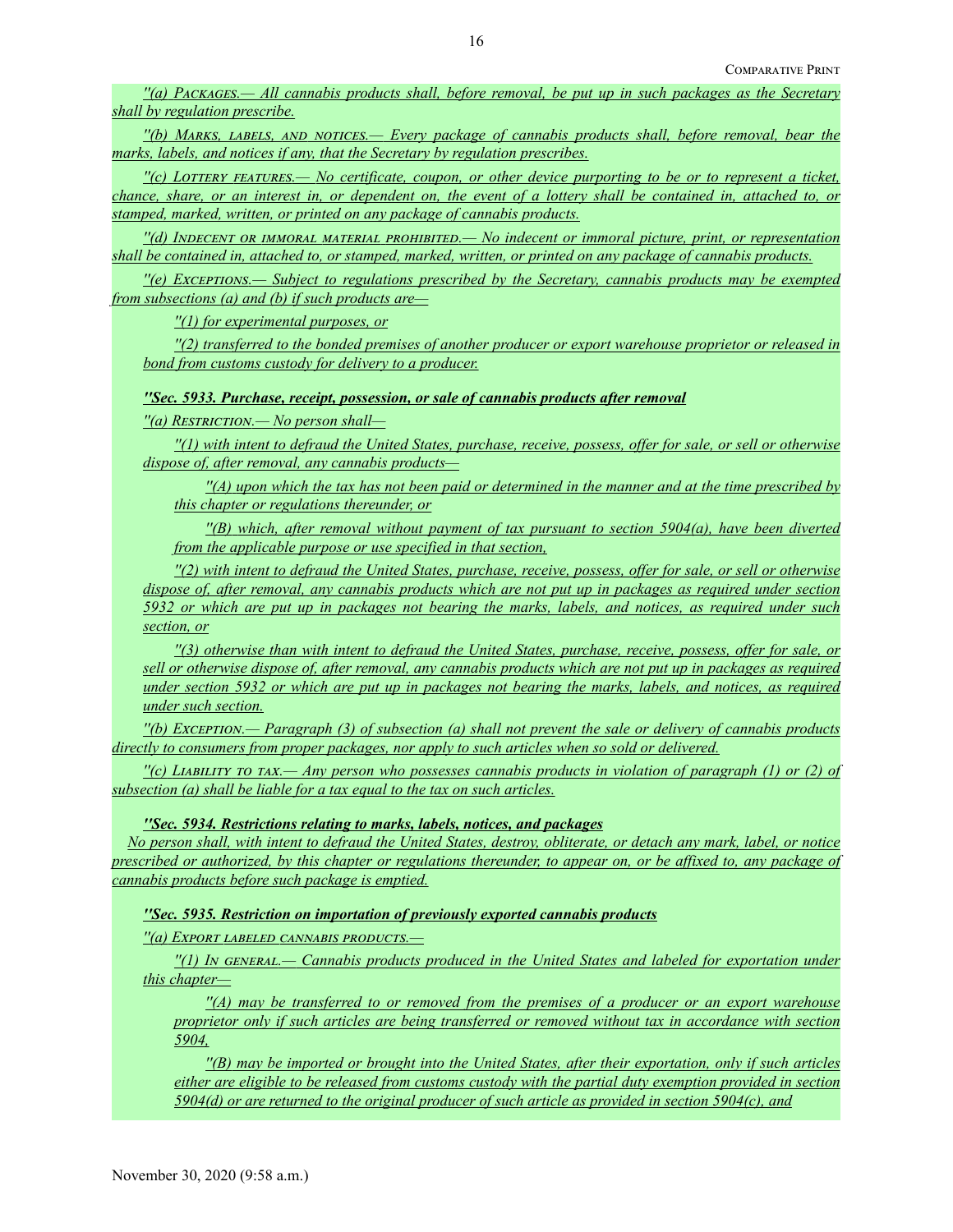*''(a) Packages.— All cannabis products shall, before removal, be put up in such packages as the Secretary shall by regulation prescribe.*

*''(b) Marks, labels, and notices.— Every package of cannabis products shall, before removal, bear the marks, labels, and notices if any, that the Secretary by regulation prescribes.*

*''(c) Lottery features.— No certificate, coupon, or other device purporting to be or to represent a ticket, chance, share, or an interest in, or dependent on, the event of a lottery shall be contained in, attached to, or stamped, marked, written, or printed on any package of cannabis products.*

*''(d) Indecent or immoral material prohibited.— No indecent or immoral picture, print, or representation shall be contained in, attached to, or stamped, marked, written, or printed on any package of cannabis products.*

*''(e) Exceptions.— Subject to regulations prescribed by the Secretary, cannabis products may be exempted from subsections (a) and (b) if such products are—*

*''(1) for experimental purposes, or*

*''(2) transferred to the bonded premises of another producer or export warehouse proprietor or released in bond from customs custody for delivery to a producer.*

*''Sec. 5933. Purchase, receipt, possession, or sale of cannabis products after removal*

*''(a) Restriction.— No person shall—*

*''(1) with intent to defraud the United States, purchase, receive, possess, offer for sale, or sell or otherwise dispose of, after removal, any cannabis products—*

*''(A) upon which the tax has not been paid or determined in the manner and at the time prescribed by this chapter or regulations thereunder, or*

*''(B) which, after removal without payment of tax pursuant to section 5904(a), have been diverted from the applicable purpose or use specified in that section,*

*''(2) with intent to defraud the United States, purchase, receive, possess, offer for sale, or sell or otherwise dispose of, after removal, any cannabis products which are not put up in packages as required under section 5932 or which are put up in packages not bearing the marks, labels, and notices, as required under such section, or*

*''(3) otherwise than with intent to defraud the United States, purchase, receive, possess, offer for sale, or sell or otherwise dispose of, after removal, any cannabis products which are not put up in packages as required under section 5932 or which are put up in packages not bearing the marks, labels, and notices, as required under such section.*

*''(b) Exception.— Paragraph (3) of subsection (a) shall not prevent the sale or delivery of cannabis products directly to consumers from proper packages, nor apply to such articles when so sold or delivered.*

*''(c) Liability to tax.— Any person who possesses cannabis products in violation of paragraph (1) or (2) of subsection (a) shall be liable for a tax equal to the tax on such articles.*

*''Sec. 5934. Restrictions relating to marks, labels, notices, and packages*

*No person shall, with intent to defraud the United States, destroy, obliterate, or detach any mark, label, or notice prescribed or authorized, by this chapter or regulations thereunder, to appear on, or be affixed to, any package of cannabis products before such package is emptied.*

*''Sec. 5935. Restriction on importation of previously exported cannabis products*

*''(a) Export labeled cannabis products.—*

*''(1) In general.— Cannabis products produced in the United States and labeled for exportation under this chapter—*

*''(A) may be transferred to or removed from the premises of a producer or an export warehouse proprietor only if such articles are being transferred or removed without tax in accordance with section 5904,*

*''(B) may be imported or brought into the United States, after their exportation, only if such articles either are eligible to be released from customs custody with the partial duty exemption provided in section 5904(d) or are returned to the original producer of such article as provided in section 5904(c), and*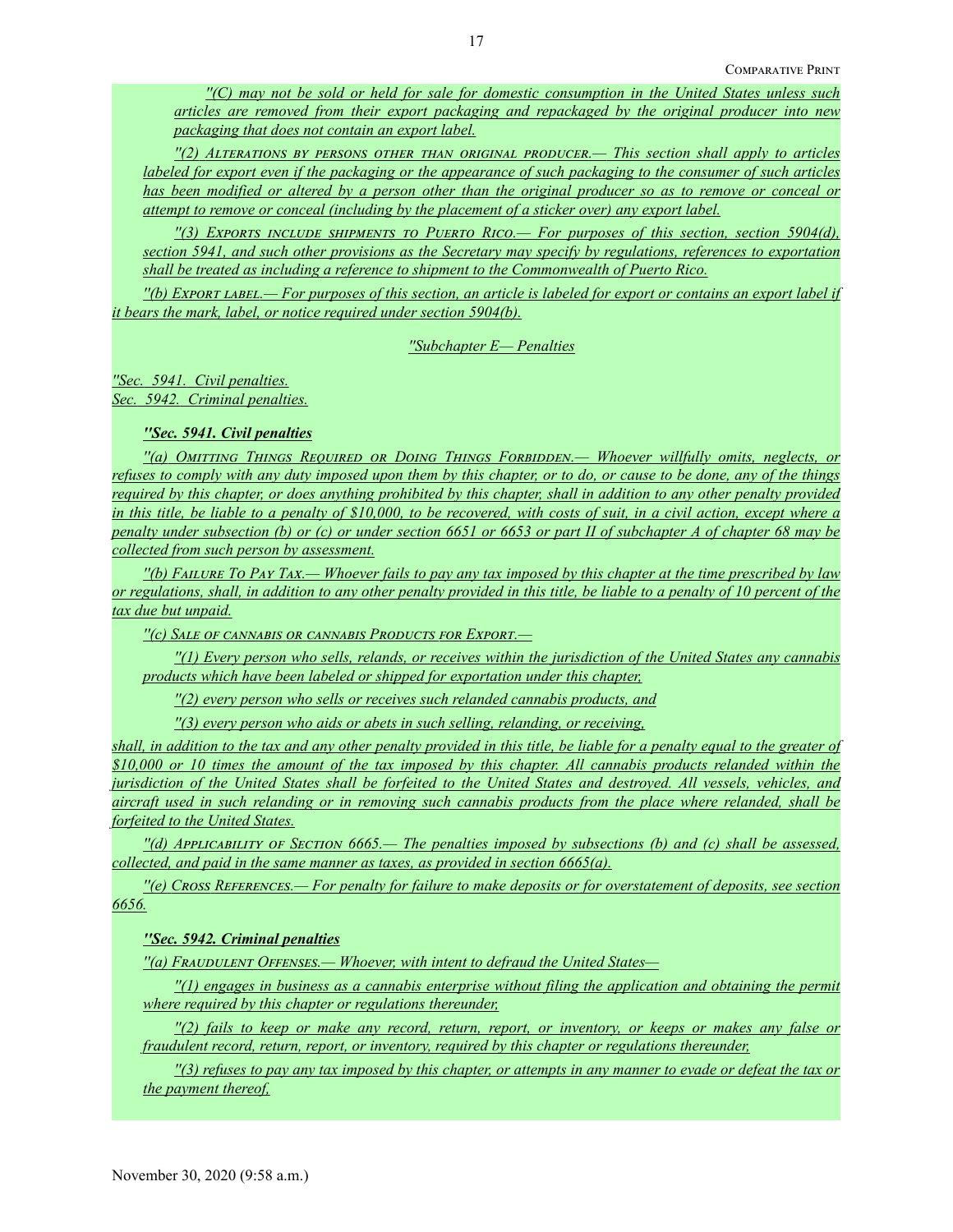*''(C) may not be sold or held for sale for domestic consumption in the United States unless such articles are removed from their export packaging and repackaged by the original producer into new packaging that does not contain an export label.*

*''(2) Alterations by persons other than original producer.— This section shall apply to articles labeled for export even if the packaging or the appearance of such packaging to the consumer of such articles has been modified or altered by a person other than the original producer so as to remove or conceal or attempt to remove or conceal (including by the placement of a sticker over) any export label.*

*''(3) Exports include shipments to Puerto Rico.— For purposes of this section, section 5904(d), section 5941, and such other provisions as the Secretary may specify by regulations, references to exportation shall be treated as including a reference to shipment to the Commonwealth of Puerto Rico.*

*''(b) Export label.— For purposes of this section, an article is labeled for export or contains an export label if it bears the mark, label, or notice required under section 5904(b).*

*''Subchapter E— Penalties*

*''Sec. 5941. Civil penalties. Sec. 5942. Criminal penalties.*

*''Sec. 5941. Civil penalties*

*''(a) Omitting Things Required or Doing Things Forbidden.— Whoever willfully omits, neglects, or refuses to comply with any duty imposed upon them by this chapter, or to do, or cause to be done, any of the things required by this chapter, or does anything prohibited by this chapter, shall in addition to any other penalty provided in this title, be liable to a penalty of \$10,000, to be recovered, with costs of suit, in a civil action, except where a penalty under subsection (b) or (c) or under section 6651 or 6653 or part II of subchapter A of chapter 68 may be collected from such person by assessment.*

*''(b) Failure To Pay Tax.— Whoever fails to pay any tax imposed by this chapter at the time prescribed by law or regulations, shall, in addition to any other penalty provided in this title, be liable to a penalty of 10 percent of the tax due but unpaid.*

*''(c) Sale of cannabis or cannabis Products for Export.—*

*''(1) Every person who sells, relands, or receives within the jurisdiction of the United States any cannabis products which have been labeled or shipped for exportation under this chapter,*

*''(2) every person who sells or receives such relanded cannabis products, and*

*''(3) every person who aids or abets in such selling, relanding, or receiving,*

*shall, in addition to the tax and any other penalty provided in this title, be liable for a penalty equal to the greater of \$10,000 or 10 times the amount of the tax imposed by this chapter. All cannabis products relanded within the jurisdiction of the United States shall be forfeited to the United States and destroyed. All vessels, vehicles, and aircraft used in such relanding or in removing such cannabis products from the place where relanded, shall be forfeited to the United States.*

*''(d) Applicability of Section 6665.— The penalties imposed by subsections (b) and (c) shall be assessed, collected, and paid in the same manner as taxes, as provided in section 6665(a).*

*''(e) Cross References.— For penalty for failure to make deposits or for overstatement of deposits, see section 6656.*

## *''Sec. 5942. Criminal penalties*

*''(a) Fraudulent Offenses.— Whoever, with intent to defraud the United States—*

*''(1) engages in business as a cannabis enterprise without filing the application and obtaining the permit where required by this chapter or regulations thereunder,*

*''(2) fails to keep or make any record, return, report, or inventory, or keeps or makes any false or fraudulent record, return, report, or inventory, required by this chapter or regulations thereunder,*

*''(3) refuses to pay any tax imposed by this chapter, or attempts in any manner to evade or defeat the tax or the payment thereof,*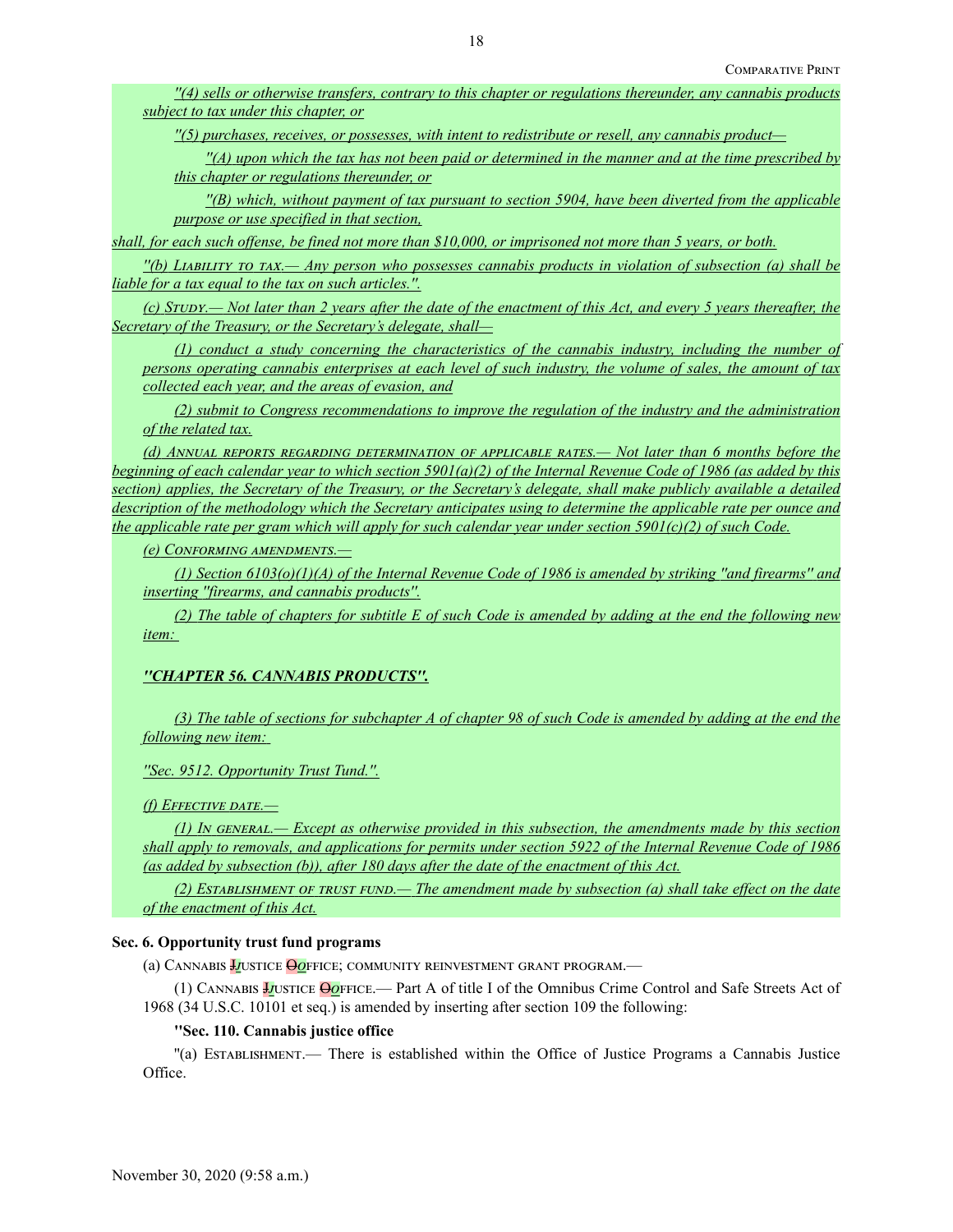*''(4) sells or otherwise transfers, contrary to this chapter or regulations thereunder, any cannabis products subject to tax under this chapter, or*

*''(5) purchases, receives, or possesses, with intent to redistribute or resell, any cannabis product—*

*''(A) upon which the tax has not been paid or determined in the manner and at the time prescribed by this chapter or regulations thereunder, or*

*''(B) which, without payment of tax pursuant to section 5904, have been diverted from the applicable purpose or use specified in that section,*

*shall, for each such offense, be fined not more than \$10,000, or imprisoned not more than 5 years, or both.*

*''(b) Liability to tax.— Any person who possesses cannabis products in violation of subsection (a) shall be liable for a tax equal to the tax on such articles.''.*

*(c) STUDY.— Not later than 2 years after the date of the enactment of this Act, and every 5 years thereafter, the Secretary of the Treasury, or the Secretary's delegate, shall—*

*(1) conduct a study concerning the characteristics of the cannabis industry, including the number of persons operating cannabis enterprises at each level of such industry, the volume of sales, the amount of tax collected each year, and the areas of evasion, and*

*(2) submit to Congress recommendations to improve the regulation of the industry and the administration of the related tax.*

*(d) Annual reports regarding determination of applicable rates.— Not later than 6 months before the beginning of each calendar year to which section 5901(a)(2) of the Internal Revenue Code of 1986 (as added by this section) applies, the Secretary of the Treasury, or the Secretary's delegate, shall make publicly available a detailed description of the methodology which the Secretary anticipates using to determine the applicable rate per ounce and the applicable rate per gram which will apply for such calendar year under section 5901(c)(2) of such Code.*

*(e) Conforming amendments.—*

*(1) Section 6103(o)(1)(A) of the Internal Revenue Code of 1986 is amended by striking ''and firearms'' and inserting ''firearms, and cannabis products''.*

*(2) The table of chapters for subtitle E of such Code is amended by adding at the end the following new item:*

## *''CHAPTER 56. CANNABIS PRODUCTS''.*

*(3) The table of sections for subchapter A of chapter 98 of such Code is amended by adding at the end the following new item:*

*''Sec. 9512. Opportunity Trust Tund.''.*

*(f) Effective date.—*

*(1) In general.— Except as otherwise provided in this subsection, the amendments made by this section shall apply to removals, and applications for permits under section 5922 of the Internal Revenue Code of 1986 (as added by subsection (b)), after 180 days after the date of the enactment of this Act.*

*(2) Establishment of trust fund.— The amendment made by subsection (a) shall take effect on the date of the enactment of this Act.*

## **Sec. 6. Opportunity trust fund programs**

(a) CANNABIS *Justice* Ooffice; community reinvestment grant program.—

(1) Cannabis J*j*ustice O*o*ffice.— Part A of title I of the Omnibus Crime Control and Safe Streets Act of 1968 (34 U.S.C. 10101 et seq.) is amended by inserting after section 109 the following:

### **''Sec. 110. Cannabis justice office**

''(a) Establishment.— There is established within the Office of Justice Programs a Cannabis Justice Office.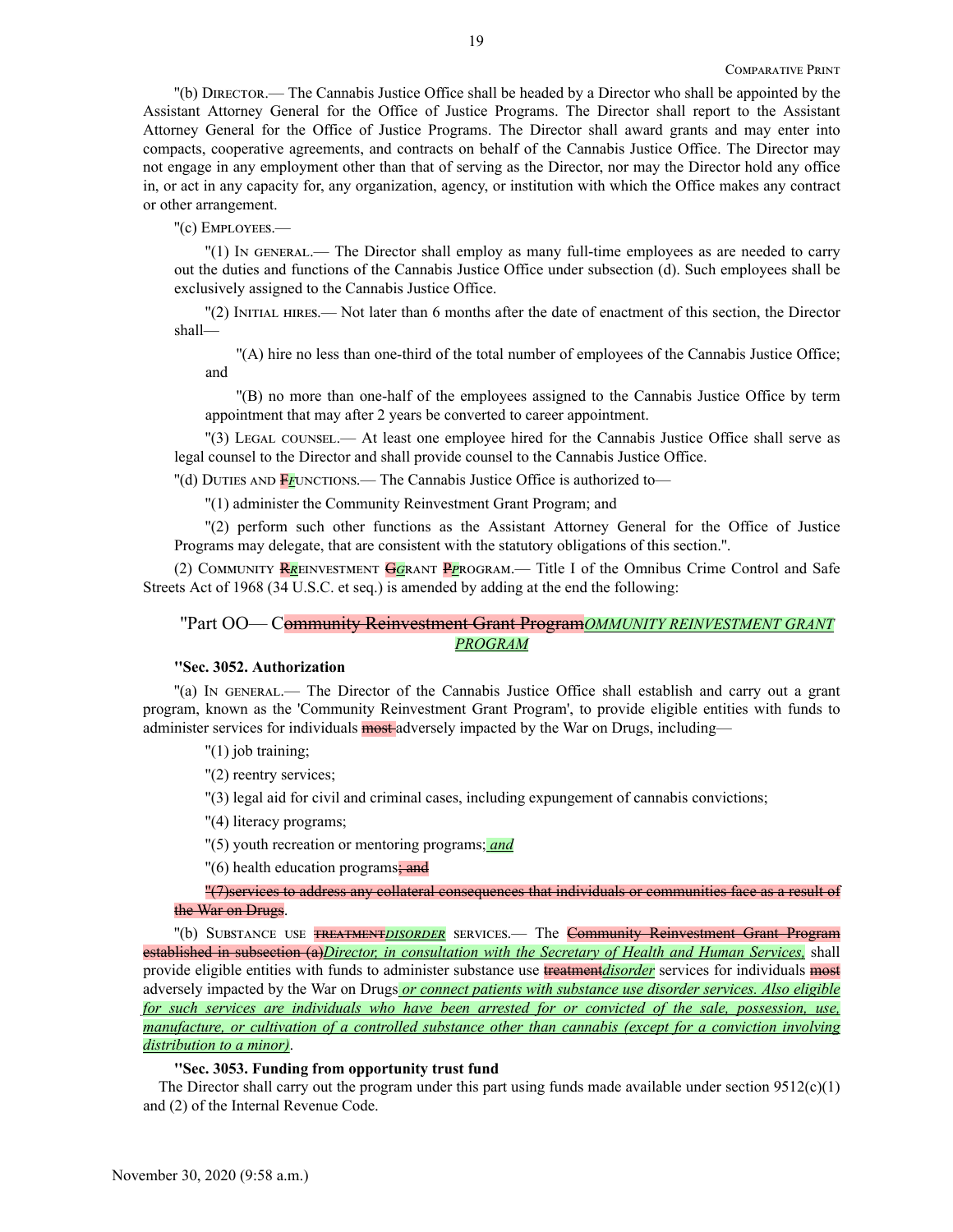''(b) Director.— The Cannabis Justice Office shall be headed by a Director who shall be appointed by the Assistant Attorney General for the Office of Justice Programs. The Director shall report to the Assistant Attorney General for the Office of Justice Programs. The Director shall award grants and may enter into compacts, cooperative agreements, and contracts on behalf of the Cannabis Justice Office. The Director may not engage in any employment other than that of serving as the Director, nor may the Director hold any office in, or act in any capacity for, any organization, agency, or institution with which the Office makes any contract or other arrangement.

## ''(c) Employees.—

''(1) In general.— The Director shall employ as many full-time employees as are needed to carry out the duties and functions of the Cannabis Justice Office under subsection (d). Such employees shall be exclusively assigned to the Cannabis Justice Office.

''(2) Initial hires.— Not later than 6 months after the date of enactment of this section, the Director shall—

''(A) hire no less than one-third of the total number of employees of the Cannabis Justice Office; and

''(B) no more than one-half of the employees assigned to the Cannabis Justice Office by term appointment that may after 2 years be converted to career appointment.

''(3) Legal counsel.— At least one employee hired for the Cannabis Justice Office shall serve as legal counsel to the Director and shall provide counsel to the Cannabis Justice Office.

''(d) Duties and F*f*unctions.— The Cannabis Justice Office is authorized to—

''(1) administer the Community Reinvestment Grant Program; and

''(2) perform such other functions as the Assistant Attorney General for the Office of Justice Programs may delegate, that are consistent with the statutory obligations of this section.''.

(2) Community R*r*einvestment G*g*rant P*p*rogram.— Title I of the Omnibus Crime Control and Safe Streets Act of 1968 (34 U.S.C. et seq.) is amended by adding at the end the following:

# ''Part OO— Community Reinvestment Grant Program*OMMUNITY REINVESTMENT GRANT PROGRAM*

## **''Sec. 3052. Authorization**

''(a) In general.— The Director of the Cannabis Justice Office shall establish and carry out a grant program, known as the 'Community Reinvestment Grant Program', to provide eligible entities with funds to administer services for individuals most adversely impacted by the War on Drugs, including—

''(1) job training;

''(2) reentry services;

''(3) legal aid for civil and criminal cases, including expungement of cannabis convictions;

''(4) literacy programs;

''(5) youth recreation or mentoring programs; *and*

"(6) health education programs: and

# ''(7)services to address any collateral consequences that individuals or communities face as a result of the War on Drugs.

"(b) SUBSTANCE USE **TREATMENTDISORDER** SERVICES.— The **Community Reinvestment Grant Program** established in subsection (a)*Director, in consultation with the Secretary of Health and Human Services,* shall provide eligible entities with funds to administer substance use treatment*disorder* services for individuals most adversely impacted by the War on Drugs *or connect patients with substance use disorder services. Also eligible for such services are individuals who have been arrested for or convicted of the sale, possession, use, manufacture, or cultivation of a controlled substance other than cannabis (except for a conviction involving distribution to a minor)*.

## **''Sec. 3053. Funding from opportunity trust fund**

The Director shall carry out the program under this part using funds made available under section  $9512(c)(1)$ and (2) of the Internal Revenue Code.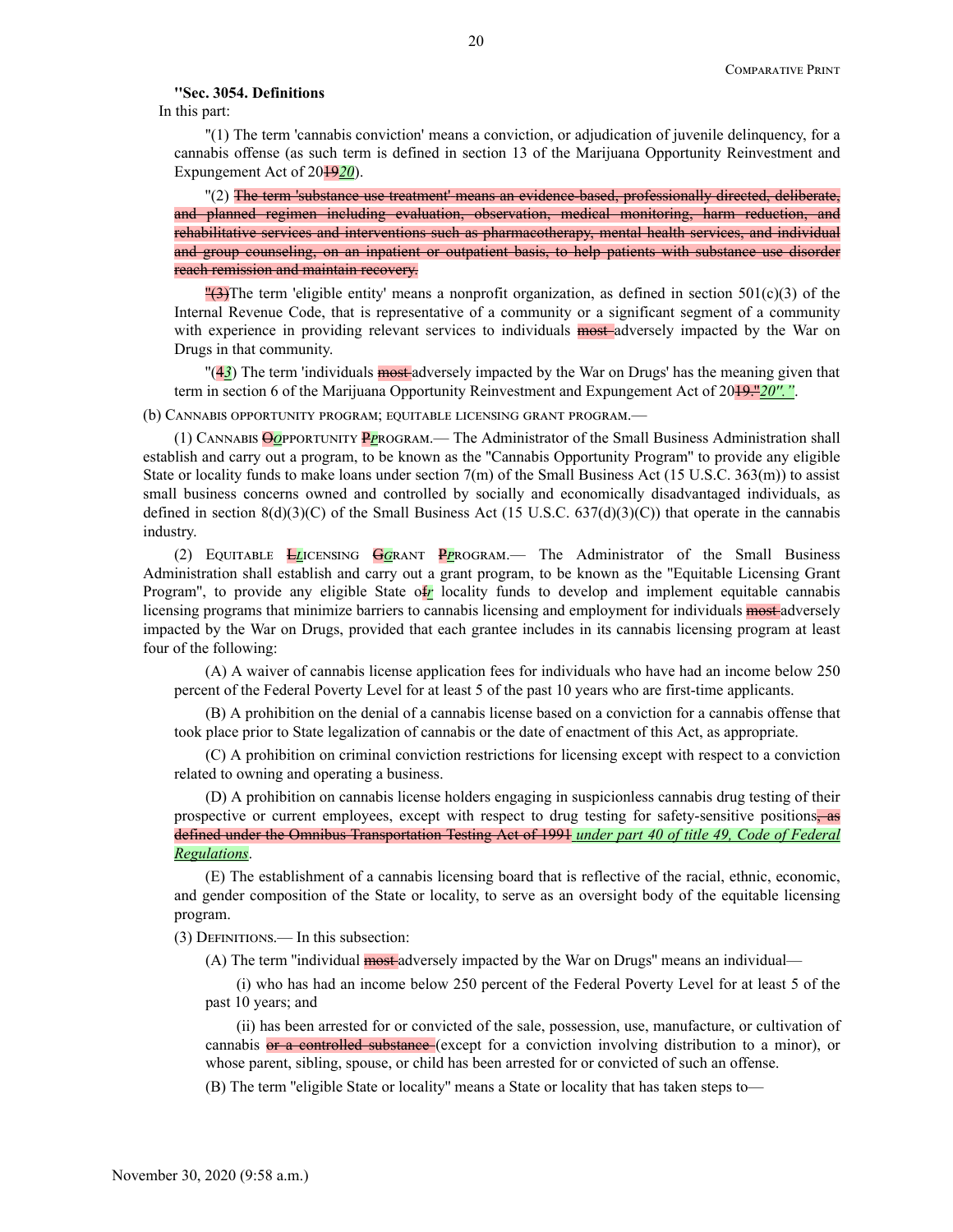### **''Sec. 3054. Definitions**

In this part:

''(1) The term 'cannabis conviction' means a conviction, or adjudication of juvenile delinquency, for a cannabis offense (as such term is defined in section 13 of the Marijuana Opportunity Reinvestment and Expungement Act of 2019*20*).

''(2) The term 'substance use treatment' means an evidence-based, professionally directed, deliberate, and planned regimen including evaluation, observation, medical monitoring, harm reduction, and rehabilitative services and interventions such as pharmacotherapy, mental health services, and individual and group counseling, on an inpatient or outpatient basis, to help patients with substance use disorder reach remission and maintain recovery.

" $(3)$ The term 'eligible entity' means a nonprofit organization, as defined in section 501(c)(3) of the Internal Revenue Code, that is representative of a community or a significant segment of a community with experience in providing relevant services to individuals **most**-adversely impacted by the War on Drugs in that community.

''(4*3*) The term 'individuals most adversely impacted by the War on Drugs' has the meaning given that term in section 6 of the Marijuana Opportunity Reinvestment and Expungement Act of 20<del>19."20"."</del>.

(b) Cannabis opportunity program; equitable licensing grant program.—

(1) Cannabis O*o*pportunity P*p*rogram.— The Administrator of the Small Business Administration shall establish and carry out a program, to be known as the ''Cannabis Opportunity Program'' to provide any eligible State or locality funds to make loans under section  $7(m)$  of the Small Business Act (15 U.S.C. 363(m)) to assist small business concerns owned and controlled by socially and economically disadvantaged individuals, as defined in section  $8(d)(3)(C)$  of the Small Business Act (15 U.S.C. 637(d)(3)(C)) that operate in the cannabis industry.

(2) Equitable L*l*icensing G*g*rant P*p*rogram.— The Administrator of the Small Business Administration shall establish and carry out a grant program, to be known as the ''Equitable Licensing Grant Program'', to provide any eligible State of*r* locality funds to develop and implement equitable cannabis licensing programs that minimize barriers to cannabis licensing and employment for individuals most adversely impacted by the War on Drugs, provided that each grantee includes in its cannabis licensing program at least four of the following:

(A) A waiver of cannabis license application fees for individuals who have had an income below 250 percent of the Federal Poverty Level for at least 5 of the past 10 years who are first-time applicants.

(B) A prohibition on the denial of a cannabis license based on a conviction for a cannabis offense that took place prior to State legalization of cannabis or the date of enactment of this Act, as appropriate.

(C) A prohibition on criminal conviction restrictions for licensing except with respect to a conviction related to owning and operating a business.

(D) A prohibition on cannabis license holders engaging in suspicionless cannabis drug testing of their prospective or current employees, except with respect to drug testing for safety-sensitive positions, as defined under the Omnibus Transportation Testing Act of 1991 *under part 40 of title 49, Code of Federal Regulations*.

(E) The establishment of a cannabis licensing board that is reflective of the racial, ethnic, economic, and gender composition of the State or locality, to serve as an oversight body of the equitable licensing program.

(3) Definitions.— In this subsection:

(A) The term "individual most adversely impacted by the War on Drugs" means an individual—

(i) who has had an income below 250 percent of the Federal Poverty Level for at least 5 of the past 10 years; and

(ii) has been arrested for or convicted of the sale, possession, use, manufacture, or cultivation of cannabis or a controlled substance (except for a conviction involving distribution to a minor), or whose parent, sibling, spouse, or child has been arrested for or convicted of such an offense.

(B) The term ''eligible State or locality'' means a State or locality that has taken steps to—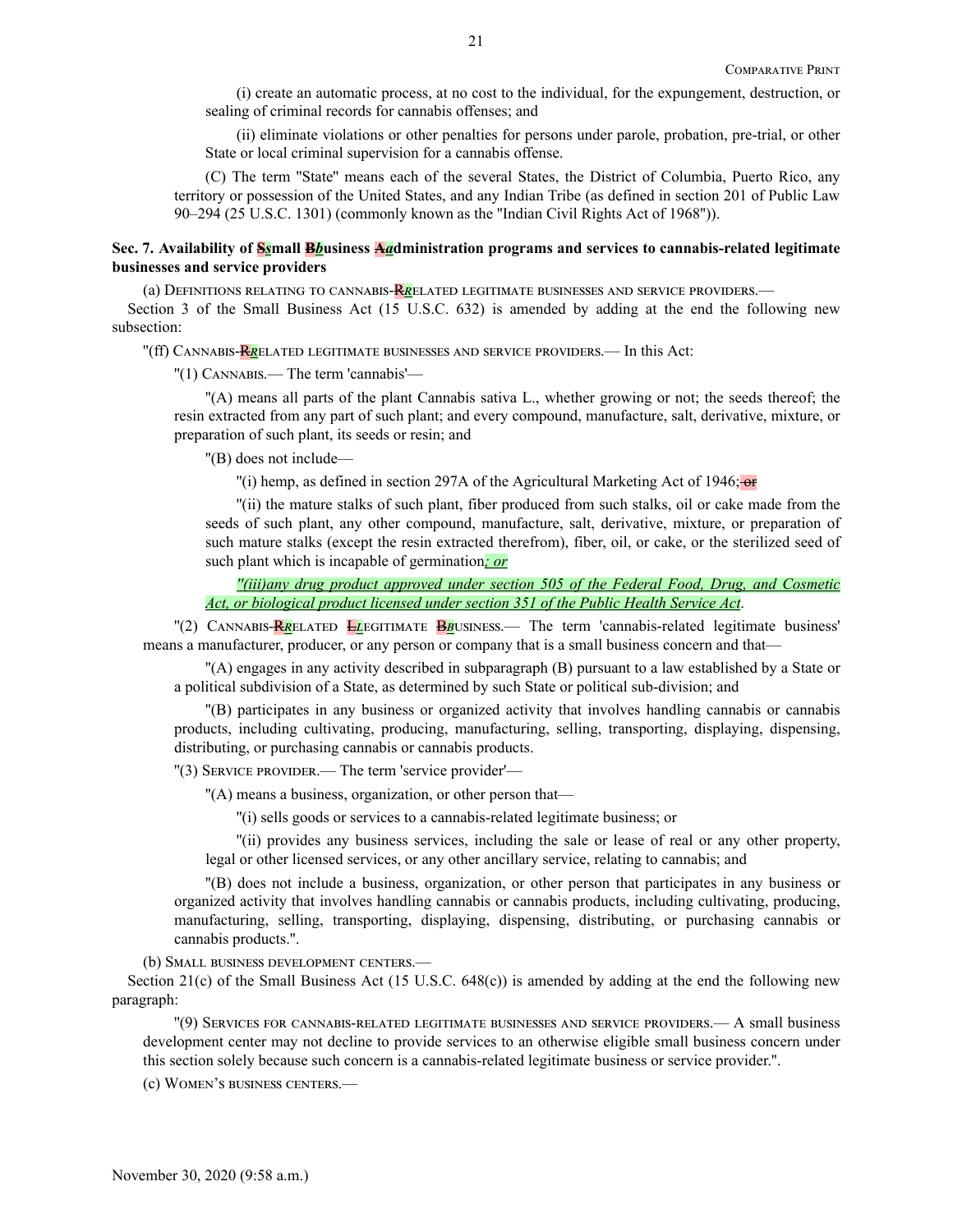(i) create an automatic process, at no cost to the individual, for the expungement, destruction, or sealing of criminal records for cannabis offenses; and

(ii) eliminate violations or other penalties for persons under parole, probation, pre-trial, or other State or local criminal supervision for a cannabis offense.

(C) The term ''State'' means each of the several States, the District of Columbia, Puerto Rico, any territory or possession of the United States, and any Indian Tribe (as defined in section 201 of Public Law 90–294 (25 U.S.C. 1301) (commonly known as the ''Indian Civil Rights Act of 1968'')).

## **Sec. 7. Availability of S***s***mall B***b***usiness A***a***dministration programs and services to cannabis-related legitimate businesses and service providers**

(a) Definitions relating to cannabis-R*r*elated legitimate businesses and service providers.—

Section 3 of the Small Business Act (15 U.S.C. 632) is amended by adding at the end the following new subsection:

''(ff) Cannabis-R*r*elated legitimate businesses and service providers.— In this Act:

''(1) Cannabis.— The term 'cannabis'—

''(A) means all parts of the plant Cannabis sativa L., whether growing or not; the seeds thereof; the resin extracted from any part of such plant; and every compound, manufacture, salt, derivative, mixture, or preparation of such plant, its seeds or resin; and

''(B) does not include—

 $\binom{1}{1}$  hemp, as defined in section 297A of the Agricultural Marketing Act of 1946; or

''(ii) the mature stalks of such plant, fiber produced from such stalks, oil or cake made from the seeds of such plant, any other compound, manufacture, salt, derivative, mixture, or preparation of such mature stalks (except the resin extracted therefrom), fiber, oil, or cake, or the sterilized seed of such plant which is incapable of germination*; or*

*''(iii)any drug product approved under section 505 of the Federal Food, Drug, and Cosmetic Act, or biological product licensed under section 351 of the Public Health Service Act*.

''(2) Cannabis-R*r*elated L*l*egitimate B*b*usiness.— The term 'cannabis-related legitimate business' means a manufacturer, producer, or any person or company that is a small business concern and that—

''(A) engages in any activity described in subparagraph (B) pursuant to a law established by a State or a political subdivision of a State, as determined by such State or political sub-division; and

''(B) participates in any business or organized activity that involves handling cannabis or cannabis products, including cultivating, producing, manufacturing, selling, transporting, displaying, dispensing, distributing, or purchasing cannabis or cannabis products.

"(3) SERVICE PROVIDER.— The term 'service provider'—

''(A) means a business, organization, or other person that—

''(i) sells goods or services to a cannabis-related legitimate business; or

''(ii) provides any business services, including the sale or lease of real or any other property, legal or other licensed services, or any other ancillary service, relating to cannabis; and

''(B) does not include a business, organization, or other person that participates in any business or organized activity that involves handling cannabis or cannabis products, including cultivating, producing, manufacturing, selling, transporting, displaying, dispensing, distributing, or purchasing cannabis or cannabis products.''.

(b) Small business development centers.—

Section 21(c) of the Small Business Act (15 U.S.C. 648(c)) is amended by adding at the end the following new paragraph:

''(9) Services for cannabis-related legitimate businesses and service providers.— A small business development center may not decline to provide services to an otherwise eligible small business concern under this section solely because such concern is a cannabis-related legitimate business or service provider.''.

(c) Women's business centers.—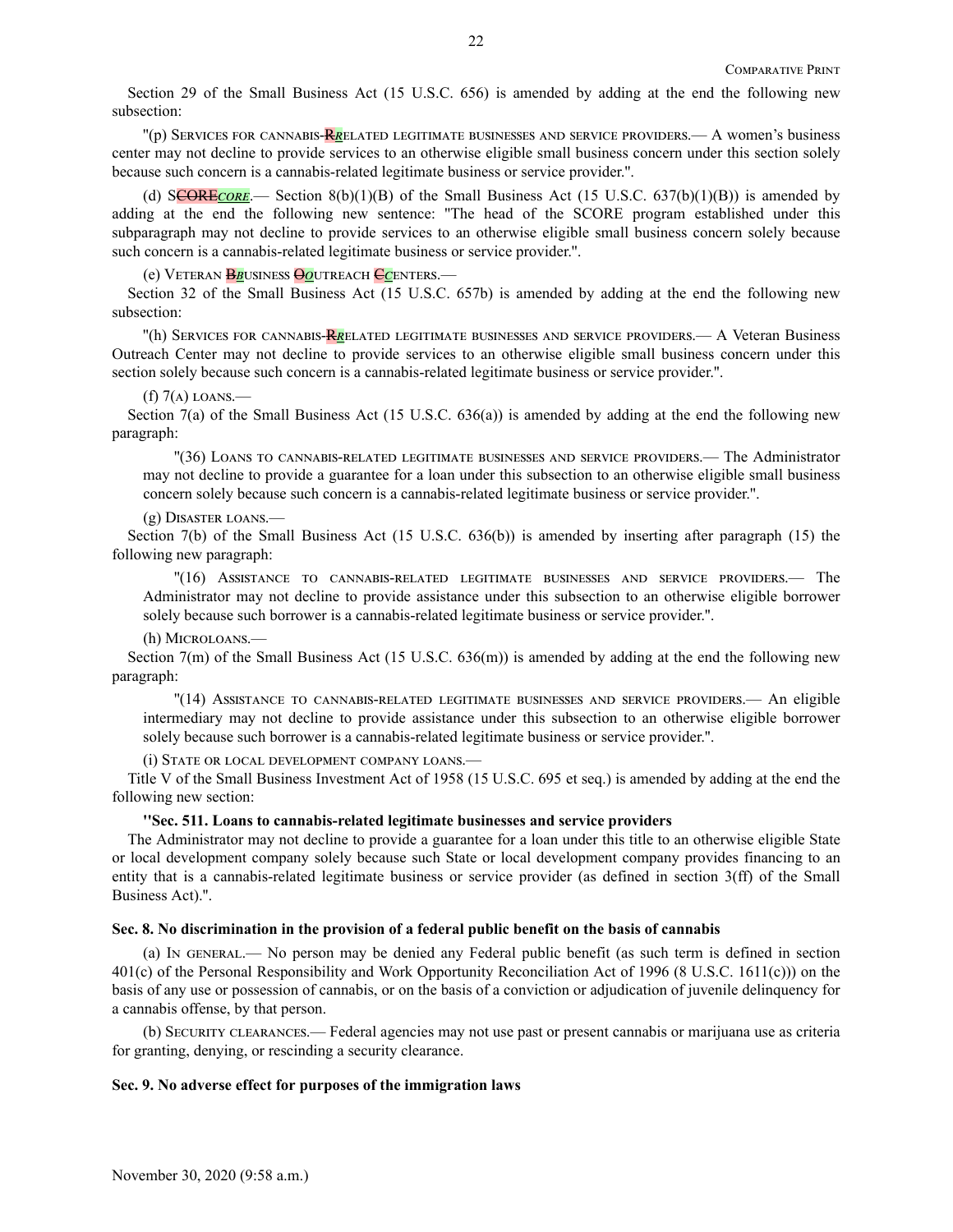Section 29 of the Small Business Act (15 U.S.C. 656) is amended by adding at the end the following new subsection:

''(p) Services for cannabis-R*r*elated legitimate businesses and service providers.— A women's business center may not decline to provide services to an otherwise eligible small business concern under this section solely because such concern is a cannabis-related legitimate business or service provider.''.

(d) SCORE<sub>CORE</sub>.— Section 8(b)(1)(B) of the Small Business Act (15 U.S.C. 637(b)(1)(B)) is amended by adding at the end the following new sentence: ''The head of the SCORE program established under this subparagraph may not decline to provide services to an otherwise eligible small business concern solely because such concern is a cannabis-related legitimate business or service provider.''.

(e) Veteran B*b*usiness O*o*utreach C*c*enters.—

Section 32 of the Small Business Act (15 U.S.C. 657b) is amended by adding at the end the following new subsection:

''(h) Services for cannabis-R*r*elated legitimate businesses and service providers.— A Veteran Business Outreach Center may not decline to provide services to an otherwise eligible small business concern under this section solely because such concern is a cannabis-related legitimate business or service provider.''.

### $(f)$  7(A) LOANS.—

Section 7(a) of the Small Business Act (15 U.S.C. 636(a)) is amended by adding at the end the following new paragraph:

''(36) Loans to cannabis-related legitimate businesses and service providers.— The Administrator may not decline to provide a guarantee for a loan under this subsection to an otherwise eligible small business concern solely because such concern is a cannabis-related legitimate business or service provider.''.

### (g) Disaster loans.—

Section 7(b) of the Small Business Act (15 U.S.C. 636(b)) is amended by inserting after paragraph (15) the following new paragraph:

''(16) Assistance to cannabis-related legitimate businesses and service providers.— The Administrator may not decline to provide assistance under this subsection to an otherwise eligible borrower solely because such borrower is a cannabis-related legitimate business or service provider.''.

(h) Microloans.—

Section 7(m) of the Small Business Act (15 U.S.C. 636(m)) is amended by adding at the end the following new paragraph:

''(14) Assistance to cannabis-related legitimate businesses and service providers.— An eligible intermediary may not decline to provide assistance under this subsection to an otherwise eligible borrower solely because such borrower is a cannabis-related legitimate business or service provider.''.

(i) State or local development company loans.—

Title V of the Small Business Investment Act of 1958 (15 U.S.C. 695 et seq.) is amended by adding at the end the following new section:

## **''Sec. 511. Loans to cannabis-related legitimate businesses and service providers**

The Administrator may not decline to provide a guarantee for a loan under this title to an otherwise eligible State or local development company solely because such State or local development company provides financing to an entity that is a cannabis-related legitimate business or service provider (as defined in section 3(ff) of the Small Business Act).''.

### **Sec. 8. No discrimination in the provision of a federal public benefit on the basis of cannabis**

(a) In general.— No person may be denied any Federal public benefit (as such term is defined in section 401(c) of the Personal Responsibility and Work Opportunity Reconciliation Act of 1996 (8 U.S.C. 1611(c))) on the basis of any use or possession of cannabis, or on the basis of a conviction or adjudication of juvenile delinquency for a cannabis offense, by that person.

(b) Security clearances.— Federal agencies may not use past or present cannabis or marijuana use as criteria for granting, denying, or rescinding a security clearance.

### **Sec. 9. No adverse effect for purposes of the immigration laws**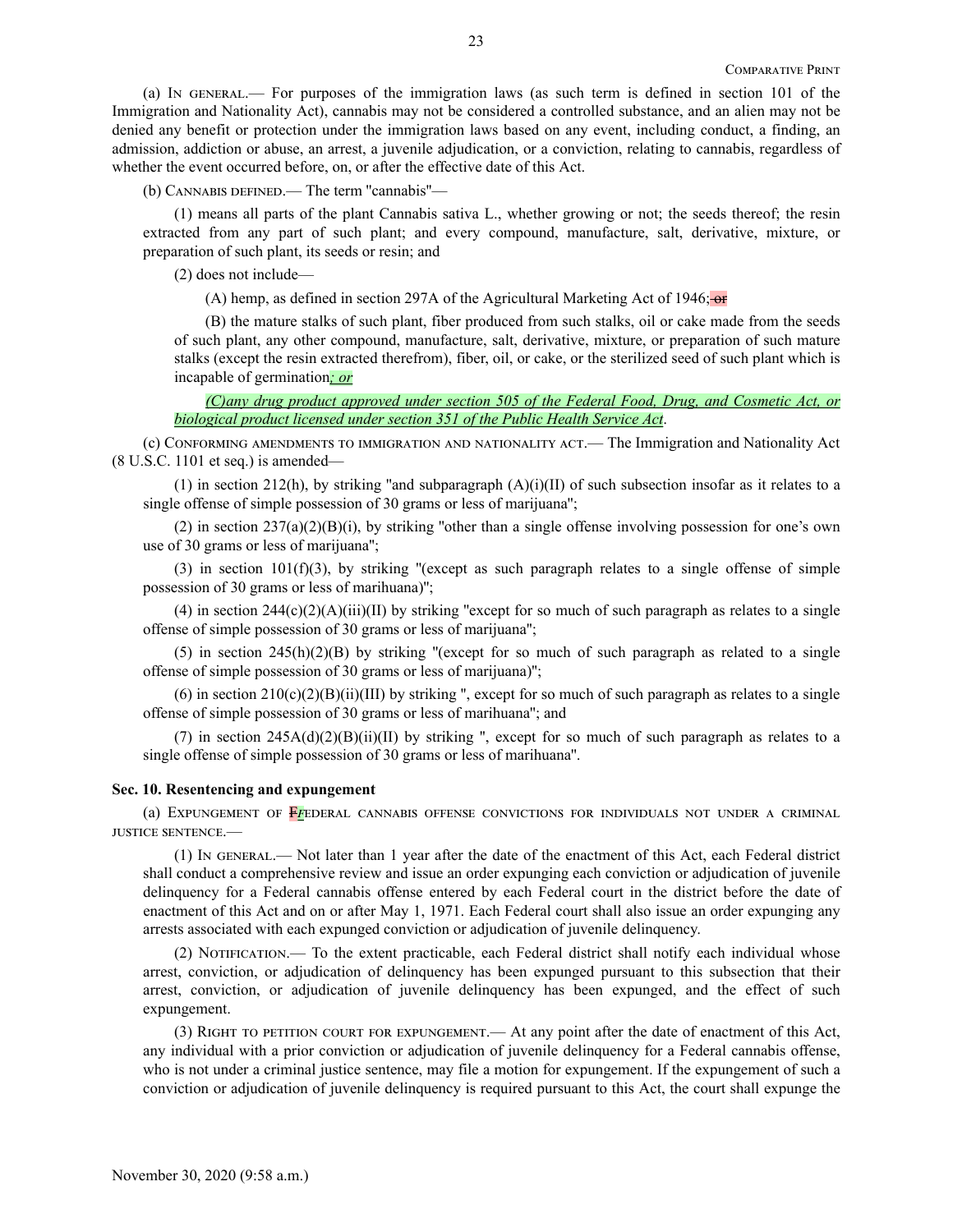(a) In general.— For purposes of the immigration laws (as such term is defined in section 101 of the Immigration and Nationality Act), cannabis may not be considered a controlled substance, and an alien may not be denied any benefit or protection under the immigration laws based on any event, including conduct, a finding, an admission, addiction or abuse, an arrest, a juvenile adjudication, or a conviction, relating to cannabis, regardless of whether the event occurred before, on, or after the effective date of this Act.

(b) Cannabis defined.— The term ''cannabis''—

(1) means all parts of the plant Cannabis sativa L., whether growing or not; the seeds thereof; the resin extracted from any part of such plant; and every compound, manufacture, salt, derivative, mixture, or preparation of such plant, its seeds or resin; and

(2) does not include—

(A) hemp, as defined in section 297A of the Agricultural Marketing Act of 1946;  $\Theta$ 

(B) the mature stalks of such plant, fiber produced from such stalks, oil or cake made from the seeds of such plant, any other compound, manufacture, salt, derivative, mixture, or preparation of such mature stalks (except the resin extracted therefrom), fiber, oil, or cake, or the sterilized seed of such plant which is incapable of germination*; or*

*(C)any drug product approved under section 505 of the Federal Food, Drug, and Cosmetic Act, or biological product licensed under section 351 of the Public Health Service Act*.

(c) Conforming amendments to immigration and nationality act.— The Immigration and Nationality Act (8 U.S.C. 1101 et seq.) is amended—

(1) in section 212(h), by striking "and subparagraph  $(A)(i)(II)$  of such subsection insofar as it relates to a single offense of simple possession of 30 grams or less of marijuana'';

(2) in section  $237(a)(2)(B)(i)$ , by striking "other than a single offense involving possession for one's own use of 30 grams or less of marijuana'';

(3) in section  $101(f)(3)$ , by striking "(except as such paragraph relates to a single offense of simple possession of 30 grams or less of marihuana)'';

(4) in section  $244(c)(2)(A)(iii)(II)$  by striking "except for so much of such paragraph as relates to a single offense of simple possession of 30 grams or less of marijuana'';

(5) in section  $245(h)(2)(B)$  by striking "(except for so much of such paragraph as related to a single offense of simple possession of 30 grams or less of marijuana)'';

(6) in section  $210(c)(2)(B)(ii)(III)$  by striking ", except for so much of such paragraph as relates to a single offense of simple possession of 30 grams or less of marihuana''; and

(7) in section  $245A(d)(2)(B)(ii)(II)$  by striking ", except for so much of such paragraph as relates to a single offense of simple possession of 30 grams or less of marihuana''.

## **Sec. 10. Resentencing and expungement**

(a) Expungement of F*f*ederal cannabis offense convictions for individuals not under a criminal justice sentence.—

(1) In general.— Not later than 1 year after the date of the enactment of this Act, each Federal district shall conduct a comprehensive review and issue an order expunging each conviction or adjudication of juvenile delinquency for a Federal cannabis offense entered by each Federal court in the district before the date of enactment of this Act and on or after May 1, 1971. Each Federal court shall also issue an order expunging any arrests associated with each expunged conviction or adjudication of juvenile delinquency.

(2) Notification.— To the extent practicable, each Federal district shall notify each individual whose arrest, conviction, or adjudication of delinquency has been expunged pursuant to this subsection that their arrest, conviction, or adjudication of juvenile delinquency has been expunged, and the effect of such expungement.

(3) Right to petition court for expungement.— At any point after the date of enactment of this Act, any individual with a prior conviction or adjudication of juvenile delinquency for a Federal cannabis offense, who is not under a criminal justice sentence, may file a motion for expungement. If the expungement of such a conviction or adjudication of juvenile delinquency is required pursuant to this Act, the court shall expunge the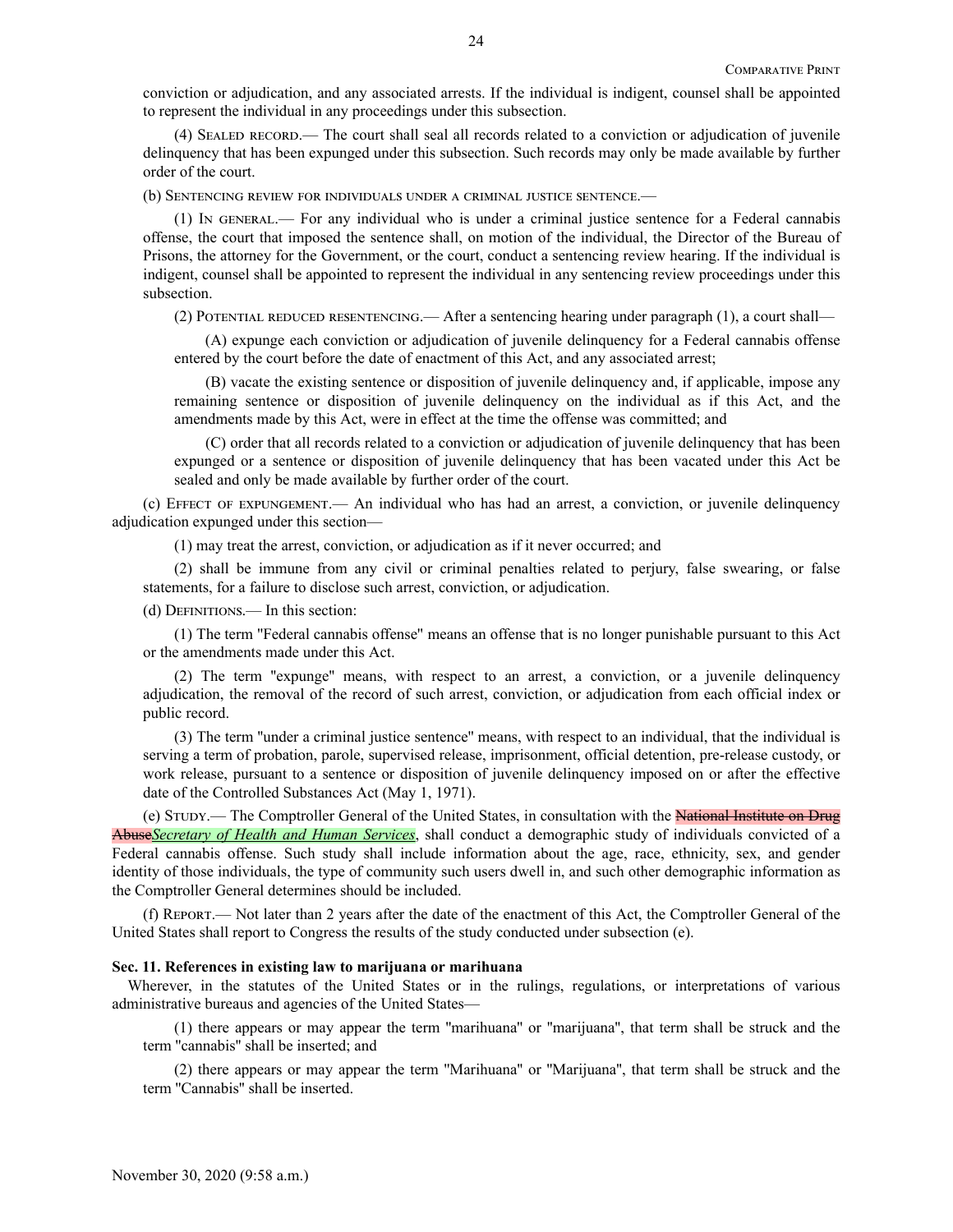conviction or adjudication, and any associated arrests. If the individual is indigent, counsel shall be appointed to represent the individual in any proceedings under this subsection.

(4) Sealed record.— The court shall seal all records related to a conviction or adjudication of juvenile delinquency that has been expunged under this subsection. Such records may only be made available by further order of the court.

(b) Sentencing review for individuals under a criminal justice sentence.—

(1) In general.— For any individual who is under a criminal justice sentence for a Federal cannabis offense, the court that imposed the sentence shall, on motion of the individual, the Director of the Bureau of Prisons, the attorney for the Government, or the court, conduct a sentencing review hearing. If the individual is indigent, counsel shall be appointed to represent the individual in any sentencing review proceedings under this subsection.

(2) Potential reduced resentencing.— After a sentencing hearing under paragraph (1), a court shall—

(A) expunge each conviction or adjudication of juvenile delinquency for a Federal cannabis offense entered by the court before the date of enactment of this Act, and any associated arrest;

(B) vacate the existing sentence or disposition of juvenile delinquency and, if applicable, impose any remaining sentence or disposition of juvenile delinquency on the individual as if this Act, and the amendments made by this Act, were in effect at the time the offense was committed; and

(C) order that all records related to a conviction or adjudication of juvenile delinquency that has been expunged or a sentence or disposition of juvenile delinquency that has been vacated under this Act be sealed and only be made available by further order of the court.

(c) Effect of expungement.— An individual who has had an arrest, a conviction, or juvenile delinquency adjudication expunged under this section—

(1) may treat the arrest, conviction, or adjudication as if it never occurred; and

(2) shall be immune from any civil or criminal penalties related to perjury, false swearing, or false statements, for a failure to disclose such arrest, conviction, or adjudication.

(d) Definitions.— In this section:

(1) The term ''Federal cannabis offense'' means an offense that is no longer punishable pursuant to this Act or the amendments made under this Act.

(2) The term ''expunge'' means, with respect to an arrest, a conviction, or a juvenile delinquency adjudication, the removal of the record of such arrest, conviction, or adjudication from each official index or public record.

(3) The term ''under a criminal justice sentence'' means, with respect to an individual, that the individual is serving a term of probation, parole, supervised release, imprisonment, official detention, pre-release custody, or work release, pursuant to a sentence or disposition of juvenile delinquency imposed on or after the effective date of the Controlled Substances Act (May 1, 1971).

(e) STUDY.— The Comptroller General of the United States, in consultation with the National Institute on Drug Abuse*Secretary of Health and Human Services*, shall conduct a demographic study of individuals convicted of a Federal cannabis offense. Such study shall include information about the age, race, ethnicity, sex, and gender identity of those individuals, the type of community such users dwell in, and such other demographic information as the Comptroller General determines should be included.

(f) Report.— Not later than 2 years after the date of the enactment of this Act, the Comptroller General of the United States shall report to Congress the results of the study conducted under subsection (e).

## **Sec. 11. References in existing law to marijuana or marihuana**

Wherever, in the statutes of the United States or in the rulings, regulations, or interpretations of various administrative bureaus and agencies of the United States—

(1) there appears or may appear the term ''marihuana'' or ''marijuana'', that term shall be struck and the term ''cannabis'' shall be inserted; and

(2) there appears or may appear the term ''Marihuana'' or ''Marijuana'', that term shall be struck and the term ''Cannabis'' shall be inserted.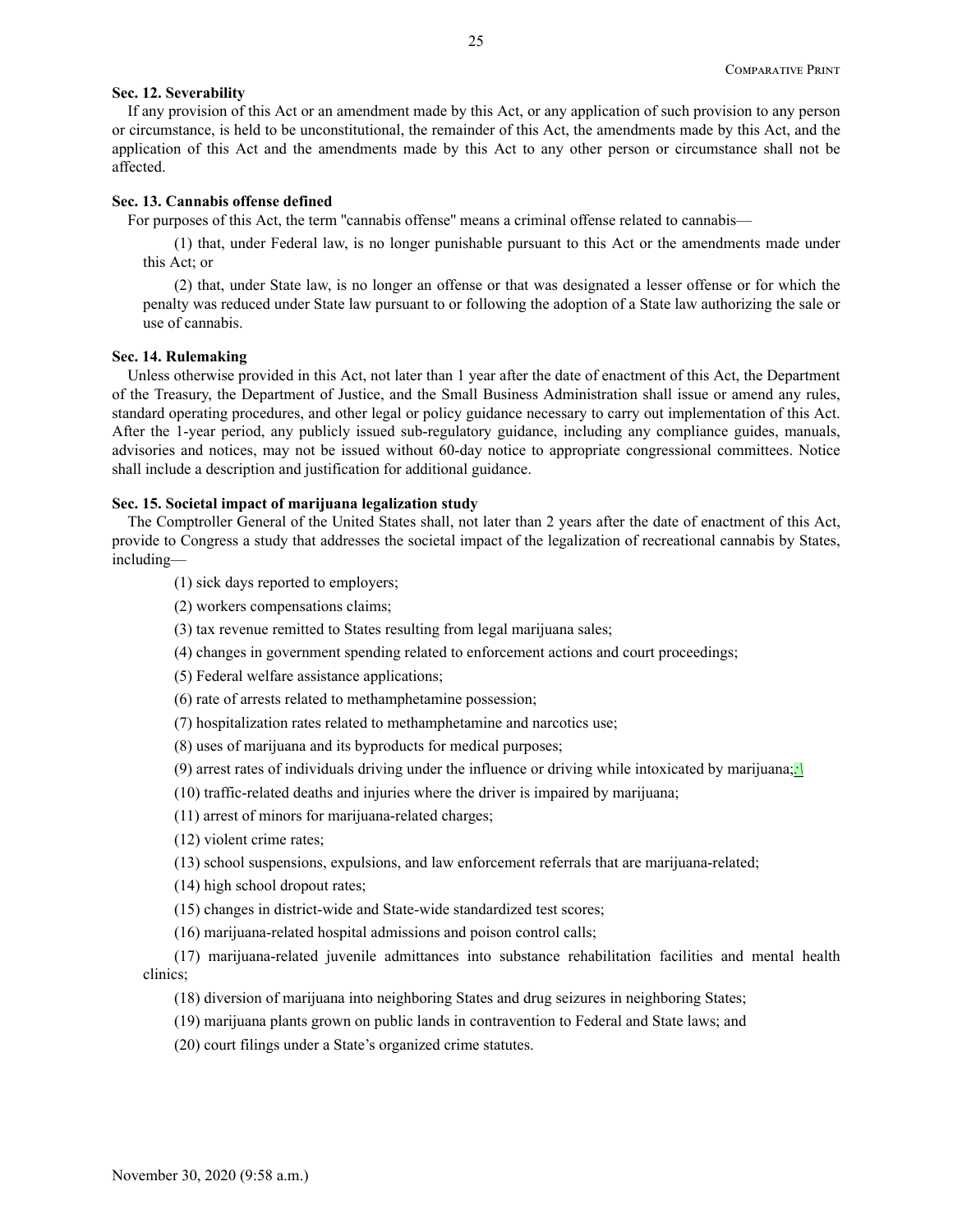### **Sec. 12. Severability**

If any provision of this Act or an amendment made by this Act, or any application of such provision to any person or circumstance, is held to be unconstitutional, the remainder of this Act, the amendments made by this Act, and the application of this Act and the amendments made by this Act to any other person or circumstance shall not be affected.

### **Sec. 13. Cannabis offense defined**

For purposes of this Act, the term "cannabis offense" means a criminal offense related to cannabis—

(1) that, under Federal law, is no longer punishable pursuant to this Act or the amendments made under this Act; or

(2) that, under State law, is no longer an offense or that was designated a lesser offense or for which the penalty was reduced under State law pursuant to or following the adoption of a State law authorizing the sale or use of cannabis.

### **Sec. 14. Rulemaking**

Unless otherwise provided in this Act, not later than 1 year after the date of enactment of this Act, the Department of the Treasury, the Department of Justice, and the Small Business Administration shall issue or amend any rules, standard operating procedures, and other legal or policy guidance necessary to carry out implementation of this Act. After the 1-year period, any publicly issued sub-regulatory guidance, including any compliance guides, manuals, advisories and notices, may not be issued without 60-day notice to appropriate congressional committees. Notice shall include a description and justification for additional guidance.

## **Sec. 15. Societal impact of marijuana legalization study**

The Comptroller General of the United States shall, not later than 2 years after the date of enactment of this Act, provide to Congress a study that addresses the societal impact of the legalization of recreational cannabis by States, including—

- (1) sick days reported to employers;
- (2) workers compensations claims;
- (3) tax revenue remitted to States resulting from legal marijuana sales;
- (4) changes in government spending related to enforcement actions and court proceedings;
- (5) Federal welfare assistance applications;
- (6) rate of arrests related to methamphetamine possession;
- (7) hospitalization rates related to methamphetamine and narcotics use;
- (8) uses of marijuana and its byproducts for medical purposes;
- (9) arrest rates of individuals driving under the influence or driving while intoxicated by marijuana;*:\*
- (10) traffic-related deaths and injuries where the driver is impaired by marijuana;
- (11) arrest of minors for marijuana-related charges;
- (12) violent crime rates;
- (13) school suspensions, expulsions, and law enforcement referrals that are marijuana-related;
- (14) high school dropout rates;
- (15) changes in district-wide and State-wide standardized test scores;
- (16) marijuana-related hospital admissions and poison control calls;

(17) marijuana-related juvenile admittances into substance rehabilitation facilities and mental health clinics;

- (18) diversion of marijuana into neighboring States and drug seizures in neighboring States;
- (19) marijuana plants grown on public lands in contravention to Federal and State laws; and
- (20) court filings under a State's organized crime statutes.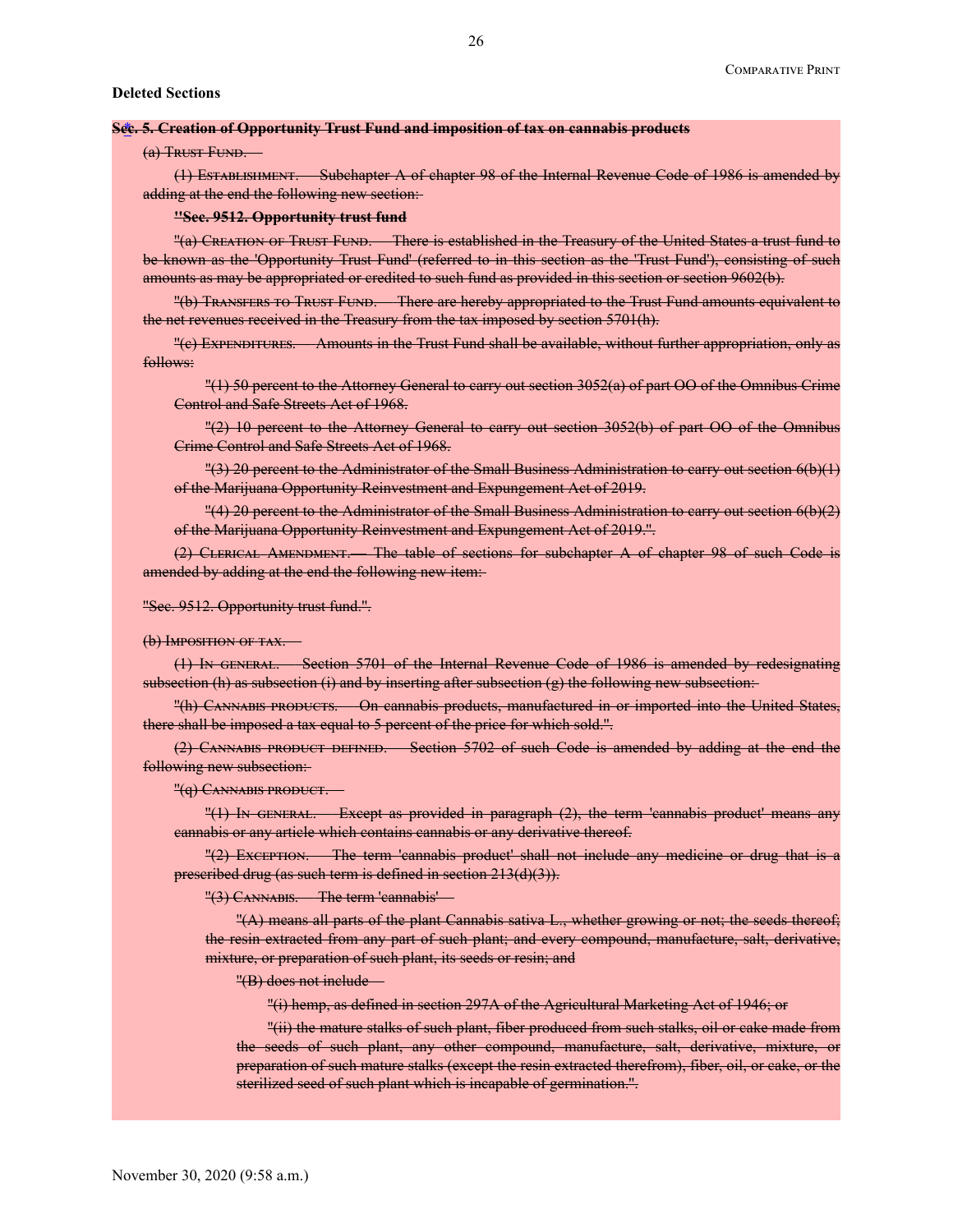### **Sec. 5. Creation of Opportunity Trust Fund and imposition of tax on cannabis products** \*

### (a) Trust Fund.

(1) Establishment.— Subchapter A of chapter 98 of the Internal Revenue Code of 1986 is amended by adding at the end the following new section:

### **''Sec. 9512. Opportunity trust fund**

"(a) CREATION OF TRUST FUND. There is established in the Treasury of the United States a trust fund to be known as the 'Opportunity Trust Fund' (referred to in this section as the 'Trust Fund'), consisting of such amounts as may be appropriated or credited to such fund as provided in this section or section 9602(b).

''(b) Transfers to Trust Fund.— There are hereby appropriated to the Trust Fund amounts equivalent to the net revenues received in the Treasury from the tax imposed by section 5701(h).

''(c) Expenditures.— Amounts in the Trust Fund shall be available, without further appropriation, only as follows:

''(1) 50 percent to the Attorney General to carry out section 3052(a) of part OO of the Omnibus Crime Control and Safe Streets Act of 1968.

''(2) 10 percent to the Attorney General to carry out section 3052(b) of part OO of the Omnibus Crime Control and Safe Streets Act of 1968.

''(3) 20 percent to the Administrator of the Small Business Administration to carry out section 6(b)(1) of the Marijuana Opportunity Reinvestment and Expungement Act of 2019.

''(4) 20 percent to the Administrator of the Small Business Administration to carry out section 6(b)(2) of the Marijuana Opportunity Reinvestment and Expungement Act of 2019.''.

 $(2)$  CLERICAL AMENDMENT. The table of sections for subchapter A of chapter 98 of such Code is amended by adding at the end the following new item:

### ''Sec. 9512. Opportunity trust fund.''.

#### (b) IMPOSITION OF TAX.

(1) In general.— Section 5701 of the Internal Revenue Code of 1986 is amended by redesignating subsection (h) as subsection (i) and by inserting after subsection  $(g)$  the following new subsection:

''(h) Cannabis products.— On cannabis products, manufactured in or imported into the United States, there shall be imposed a tax equal to 5 percent of the price for which sold.".

(2) CANNABIS PRODUCT DEFINED.— Section 5702 of such Code is amended by adding at the end the following new subsection:

"(G) CANNABIS PRODUCT.

''(1) In general.— Except as provided in paragraph (2), the term 'cannabis product' means any cannabis or any article which contains cannabis or any derivative thereof.

''(2) Exception.— The term 'cannabis product' shall not include any medicine or drug that is a prescribed drug (as such term is defined in section 213(d)(3)).

''(3) Cannabis.— The term 'cannabis'—

''(A) means all parts of the plant Cannabis sativa L., whether growing or not; the seeds thereof; the resin extracted from any part of such plant; and every compound, manufacture, salt, derivative, mixture, or preparation of such plant, its seeds or resin; and

''(B) does not include—

''(i) hemp, as defined in section 297A of the Agricultural Marketing Act of 1946; or

''(ii) the mature stalks of such plant, fiber produced from such stalks, oil or cake made from the seeds of such plant, any other compound, manufacture, salt, derivative, mixture, or preparation of such mature stalks (except the resin extracted therefrom), fiber, oil, or cake, or the sterilized seed of such plant which is incapable of germination.''.